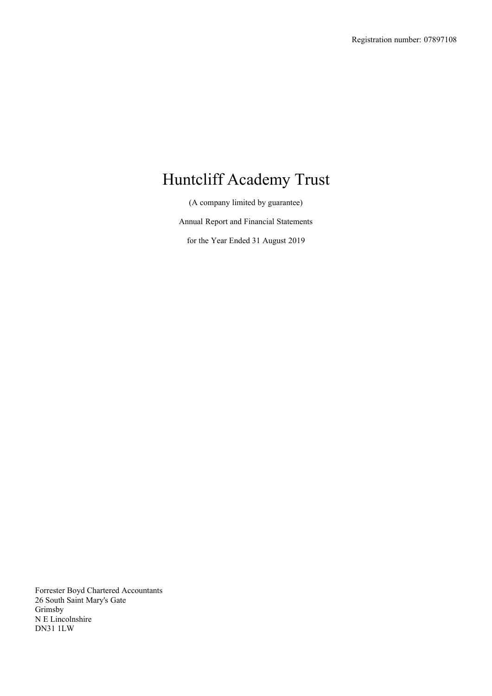(A company limited by guarantee)

Annual Report and Financial Statements

for the Year Ended 31 August 2019

Forrester Boyd Chartered Accountants 26 South Saint Mary's Gate Grimsby N E Lincolnshire DN31 1LW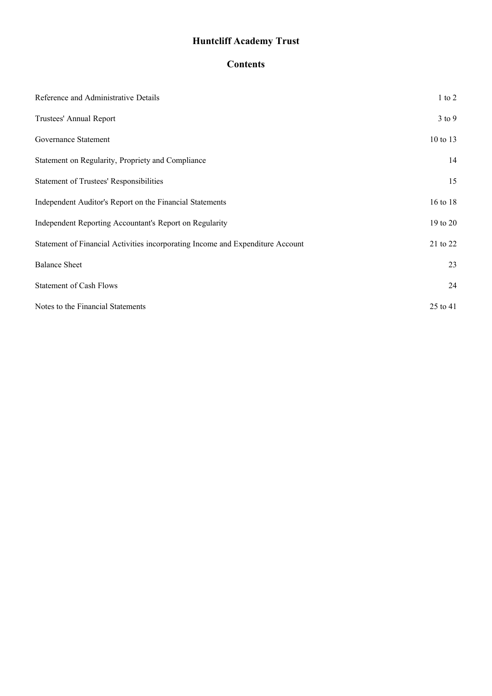# **Contents**

| Reference and Administrative Details                                           | $1$ to $2$ |
|--------------------------------------------------------------------------------|------------|
| Trustees' Annual Report                                                        | $3$ to $9$ |
| Governance Statement                                                           | 10 to 13   |
| Statement on Regularity, Propriety and Compliance                              | 14         |
| <b>Statement of Trustees' Responsibilities</b>                                 | 15         |
| Independent Auditor's Report on the Financial Statements                       | 16 to 18   |
| Independent Reporting Accountant's Report on Regularity                        | 19 to 20   |
| Statement of Financial Activities incorporating Income and Expenditure Account | 21 to 22   |
| <b>Balance Sheet</b>                                                           | 23         |
| <b>Statement of Cash Flows</b>                                                 | 24         |
| Notes to the Financial Statements                                              | 25 to 41   |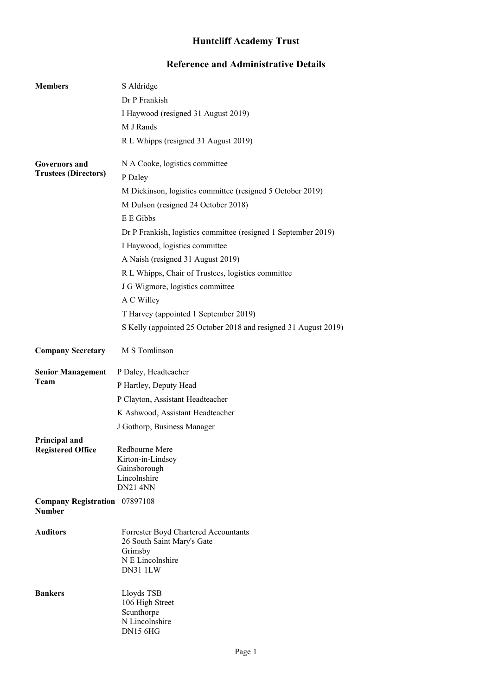# **Reference and Administrative Details**

<span id="page-2-0"></span>

| <b>Members</b>                            | S Aldridge                                                                                                    |
|-------------------------------------------|---------------------------------------------------------------------------------------------------------------|
|                                           | Dr P Frankish                                                                                                 |
|                                           | I Haywood (resigned 31 August 2019)                                                                           |
|                                           | M J Rands                                                                                                     |
|                                           | R L Whipps (resigned 31 August 2019)                                                                          |
| <b>Governors and</b>                      | N A Cooke, logistics committee                                                                                |
| <b>Trustees (Directors)</b>               | P Daley                                                                                                       |
|                                           | M Dickinson, logistics committee (resigned 5 October 2019)                                                    |
|                                           | M Dulson (resigned 24 October 2018)                                                                           |
|                                           | E E Gibbs                                                                                                     |
|                                           | Dr P Frankish, logistics committee (resigned 1 September 2019)                                                |
|                                           | I Haywood, logistics committee                                                                                |
|                                           | A Naish (resigned 31 August 2019)                                                                             |
|                                           | R L Whipps, Chair of Trustees, logistics committee                                                            |
|                                           | J G Wigmore, logistics committee                                                                              |
|                                           | A C Willey                                                                                                    |
|                                           | T Harvey (appointed 1 September 2019)                                                                         |
|                                           | S Kelly (appointed 25 October 2018 and resigned 31 August 2019)                                               |
| <b>Company Secretary</b>                  | M S Tomlinson                                                                                                 |
| <b>Senior Management</b>                  | P Daley, Headteacher                                                                                          |
| Team                                      | P Hartley, Deputy Head                                                                                        |
|                                           | P Clayton, Assistant Headteacher                                                                              |
|                                           | K Ashwood, Assistant Headteacher                                                                              |
|                                           | J Gothorp, Business Manager                                                                                   |
| Principal and<br><b>Registered Office</b> | Redbourne Mere<br>Kirton-in-Lindsey<br>Gainsborough<br>Lincolnshire<br><b>DN21 4NN</b>                        |
| Company Registration 07897108             |                                                                                                               |
| <b>Number</b>                             |                                                                                                               |
| <b>Auditors</b>                           | Forrester Boyd Chartered Accountants<br>26 South Saint Mary's Gate<br>Grimsby<br>N E Lincolnshire<br>DN31 1LW |
| <b>Bankers</b>                            | Lloyds TSB<br>106 High Street<br>Scunthorpe<br>N Lincolnshire<br><b>DN15 6HG</b>                              |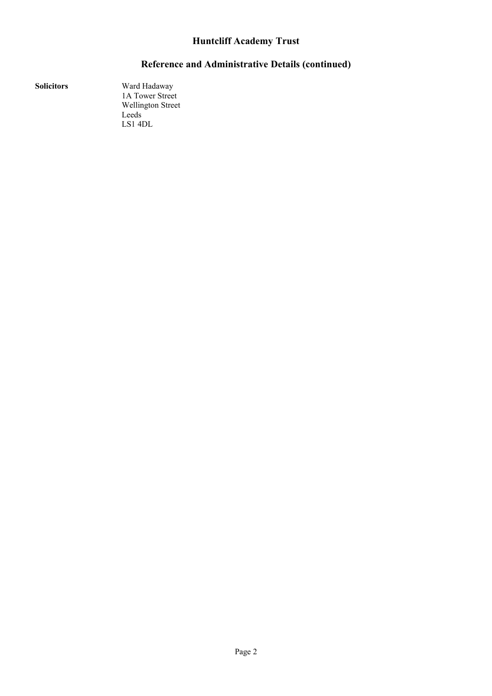# **Reference and Administrative Details (continued)**

**Solicitors** Ward Hadaway 1A Tower Street Wellington Street Leeds LS1 4DL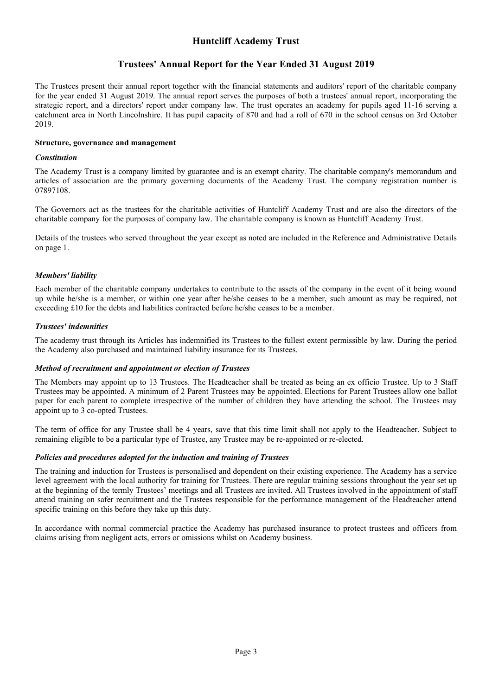### **Trustees' Annual Report for the Year Ended 31 August 2019**

<span id="page-4-0"></span>The Trustees present their annual report together with the financial statements and auditors' report of the charitable company for the year ended 31 August 2019. The annual report serves the purposes of both a trustees' annual report, incorporating the strategic report, and a directors' report under company law. The trust operates an academy for pupils aged 11-16 serving a catchment area in North Lincolnshire. It has pupil capacity of 870 and had a roll of 670 in the school census on 3rd October 2019.

### **Structure, governance and management**

#### *Constitution*

The Academy Trust is a company limited by guarantee and is an exempt charity. The charitable company's memorandum and articles of association are the primary governing documents of the Academy Trust. The company registration number is 07897108.

The Governors act as the trustees for the charitable activities of Huntcliff Academy Trust and are also the directors of the charitable company for the purposes of company law. The charitable company is known as Huntcliff Academy Trust.

Details of the trustees who served throughout the year except as noted are included in the Reference and Administrative Details on page 1.

#### *Members' liability*

Each member of the charitable company undertakes to contribute to the assets of the company in the event of it being wound up while he/she is a member, or within one year after he/she ceases to be a member, such amount as may be required, not exceeding £10 for the debts and liabilities contracted before he/she ceases to be a member.

#### *Trustees' indemnities*

The academy trust through its Articles has indemnified its Trustees to the fullest extent permissible by law. During the period the Academy also purchased and maintained liability insurance for its Trustees.

#### *Method of recruitment and appointment or election of Trustees*

The Members may appoint up to 13 Trustees. The Headteacher shall be treated as being an ex officio Trustee. Up to 3 Staff Trustees may be appointed. A minimum of 2 Parent Trustees may be appointed. Elections for Parent Trustees allow one ballot paper for each parent to complete irrespective of the number of children they have attending the school. The Trustees may appoint up to 3 co-opted Trustees.

The term of office for any Trustee shall be 4 years, save that this time limit shall not apply to the Headteacher. Subject to remaining eligible to be a particular type of Trustee, any Trustee may be re-appointed or re-elected.

#### *Policies and procedures adopted for the induction and training of Trustees*

The training and induction for Trustees is personalised and dependent on their existing experience. The Academy has a service level agreement with the local authority for training for Trustees. There are regular training sessions throughout the year set up at the beginning of the termly Trustees' meetings and all Trustees are invited. All Trustees involved in the appointment of staff attend training on safer recruitment and the Trustees responsible for the performance management of the Headteacher attend specific training on this before they take up this duty.

In accordance with normal commercial practice the Academy has purchased insurance to protect trustees and officers from claims arising from negligent acts, errors or omissions whilst on Academy business.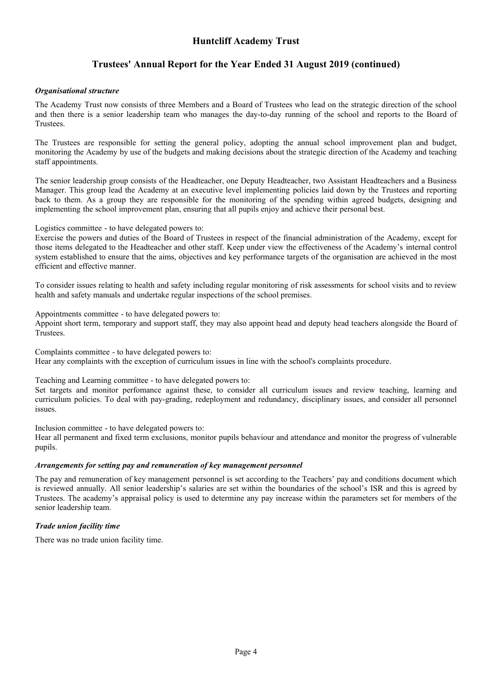# **Trustees' Annual Report for the Year Ended 31 August 2019 (continued)**

#### *Organisational structure*

The Academy Trust now consists of three Members and a Board of Trustees who lead on the strategic direction of the school and then there is a senior leadership team who manages the day-to-day running of the school and reports to the Board of Trustees.

The Trustees are responsible for setting the general policy, adopting the annual school improvement plan and budget, monitoring the Academy by use of the budgets and making decisions about the strategic direction of the Academy and teaching staff appointments.

The senior leadership group consists of the Headteacher, one Deputy Headteacher, two Assistant Headteachers and a Business Manager. This group lead the Academy at an executive level implementing policies laid down by the Trustees and reporting back to them. As a group they are responsible for the monitoring of the spending within agreed budgets, designing and implementing the school improvement plan, ensuring that all pupils enjoy and achieve their personal best.

Logistics committee - to have delegated powers to:

Exercise the powers and duties of the Board of Trustees in respect of the financial administration of the Academy, except for those items delegated to the Headteacher and other staff. Keep under view the effectiveness of the Academy's internal control system established to ensure that the aims, objectives and key performance targets of the organisation are achieved in the most efficient and effective manner.

To consider issues relating to health and safety including regular monitoring of risk assessments for school visits and to review health and safety manuals and undertake regular inspections of the school premises.

Appointments committee - to have delegated powers to:

Appoint short term, temporary and support staff, they may also appoint head and deputy head teachers alongside the Board of Trustees.

Complaints committee - to have delegated powers to: Hear any complaints with the exception of curriculum issues in line with the school's complaints procedure.

Teaching and Learning committee - to have delegated powers to:

Set targets and monitor perfomance against these, to consider all curriculum issues and review teaching, learning and curriculum policies. To deal with pay-grading, redeployment and redundancy, disciplinary issues, and consider all personnel issues.

Inclusion committee - to have delegated powers to: Hear all permanent and fixed term exclusions, monitor pupils behaviour and attendance and monitor the progress of vulnerable pupils.

#### *Arrangements for setting pay and remuneration of key management personnel*

The pay and remuneration of key management personnel is set according to the Teachers' pay and conditions document which is reviewed annually. All senior leadership's salaries are set within the boundaries of the school's ISR and this is agreed by Trustees. The academy's appraisal policy is used to determine any pay increase within the parameters set for members of the senior leadership team.

#### *Trade union facility time*

There was no trade union facility time.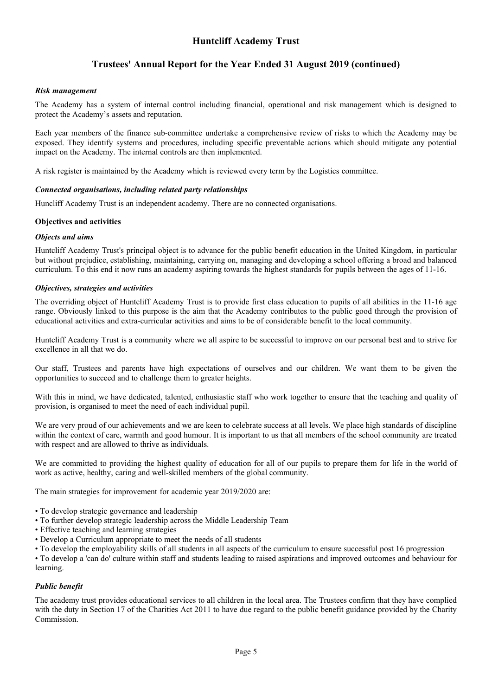# **Trustees' Annual Report for the Year Ended 31 August 2019 (continued)**

#### *Risk management*

The Academy has a system of internal control including financial, operational and risk management which is designed to protect the Academy's assets and reputation.

Each year members of the finance sub-committee undertake a comprehensive review of risks to which the Academy may be exposed. They identify systems and procedures, including specific preventable actions which should mitigate any potential impact on the Academy. The internal controls are then implemented.

A risk register is maintained by the Academy which is reviewed every term by the Logistics committee.

#### *Connected organisations, including related party relationships*

Huncliff Academy Trust is an independent academy. There are no connected organisations.

#### **Objectives and activities**

#### *Objects and aims*

Huntcliff Academy Trust's principal object is to advance for the public benefit education in the United Kingdom, in particular but without prejudice, establishing, maintaining, carrying on, managing and developing a school offering a broad and balanced curriculum. To this end it now runs an academy aspiring towards the highest standards for pupils between the ages of 11-16.

#### *Objectives, strategies and activities*

The overriding object of Huntcliff Academy Trust is to provide first class education to pupils of all abilities in the 11-16 age range. Obviously linked to this purpose is the aim that the Academy contributes to the public good through the provision of educational activities and extra-curricular activities and aims to be of considerable benefit to the local community.

Huntcliff Academy Trust is a community where we all aspire to be successful to improve on our personal best and to strive for excellence in all that we do.

Our staff, Trustees and parents have high expectations of ourselves and our children. We want them to be given the opportunities to succeed and to challenge them to greater heights.

With this in mind, we have dedicated, talented, enthusiastic staff who work together to ensure that the teaching and quality of provision, is organised to meet the need of each individual pupil.

We are very proud of our achievements and we are keen to celebrate success at all levels. We place high standards of discipline within the context of care, warmth and good humour. It is important to us that all members of the school community are treated with respect and are allowed to thrive as individuals.

We are committed to providing the highest quality of education for all of our pupils to prepare them for life in the world of work as active, healthy, caring and well-skilled members of the global community.

The main strategies for improvement for academic year 2019/2020 are:

- To develop strategic governance and leadership
- To further develop strategic leadership across the Middle Leadership Team
- Effective teaching and learning strategies
- Develop a Curriculum appropriate to meet the needs of all students

• To develop the employability skills of all students in all aspects of the curriculum to ensure successful post 16 progression

• To develop a 'can do' culture within staff and students leading to raised aspirations and improved outcomes and behaviour for learning.

#### *Public benefit*

The academy trust provides educational services to all children in the local area. The Trustees confirm that they have complied with the duty in Section 17 of the Charities Act 2011 to have due regard to the public benefit guidance provided by the Charity Commission.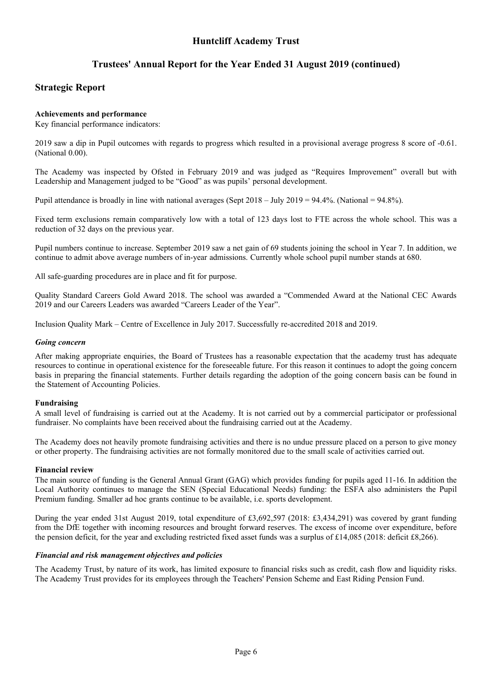# **Trustees' Annual Report for the Year Ended 31 August 2019 (continued)**

### **Strategic Report**

#### **Achievements and performance**

Key financial performance indicators:

2019 saw a dip in Pupil outcomes with regards to progress which resulted in a provisional average progress 8 score of -0.61. (National 0.00).

The Academy was inspected by Ofsted in February 2019 and was judged as "Requires Improvement" overall but with Leadership and Management judged to be "Good" as was pupils' personal development.

Pupil attendance is broadly in line with national averages (Sept 2018 – July 2019 = 94.4%. (National = 94.8%).

Fixed term exclusions remain comparatively low with a total of 123 days lost to FTE across the whole school. This was a reduction of 32 days on the previous year.

Pupil numbers continue to increase. September 2019 saw a net gain of 69 students joining the school in Year 7. In addition, we continue to admit above average numbers of in-year admissions. Currently whole school pupil number stands at 680.

All safe-guarding procedures are in place and fit for purpose.

Quality Standard Careers Gold Award 2018. The school was awarded a "Commended Award at the National CEC Awards 2019 and our Careers Leaders was awarded "Careers Leader of the Year".

Inclusion Quality Mark – Centre of Excellence in July 2017. Successfully re-accredited 2018 and 2019.

#### *Going concern*

After making appropriate enquiries, the Board of Trustees has a reasonable expectation that the academy trust has adequate resources to continue in operational existence for the foreseeable future. For this reason it continues to adopt the going concern basis in preparing the financial statements. Further details regarding the adoption of the going concern basis can be found in the Statement of Accounting Policies.

#### **Fundraising**

A small level of fundraising is carried out at the Academy. It is not carried out by a commercial participator or professional fundraiser. No complaints have been received about the fundraising carried out at the Academy.

The Academy does not heavily promote fundraising activities and there is no undue pressure placed on a person to give money or other property. The fundraising activities are not formally monitored due to the small scale of activities carried out.

#### **Financial review**

The main source of funding is the General Annual Grant (GAG) which provides funding for pupils aged 11-16. In addition the Local Authority continues to manage the SEN (Special Educational Needs) funding: the ESFA also administers the Pupil Premium funding. Smaller ad hoc grants continue to be available, i.e. sports development.

During the year ended 31st August 2019, total expenditure of £3,692,597 (2018: £3,434,291) was covered by grant funding from the DfE together with incoming resources and brought forward reserves. The excess of income over expenditure, before the pension deficit, for the year and excluding restricted fixed asset funds was a surplus of £14,085 (2018: deficit £8,266).

#### *Financial and risk management objectives and policies*

The Academy Trust, by nature of its work, has limited exposure to financial risks such as credit, cash flow and liquidity risks. The Academy Trust provides for its employees through the Teachers' Pension Scheme and East Riding Pension Fund.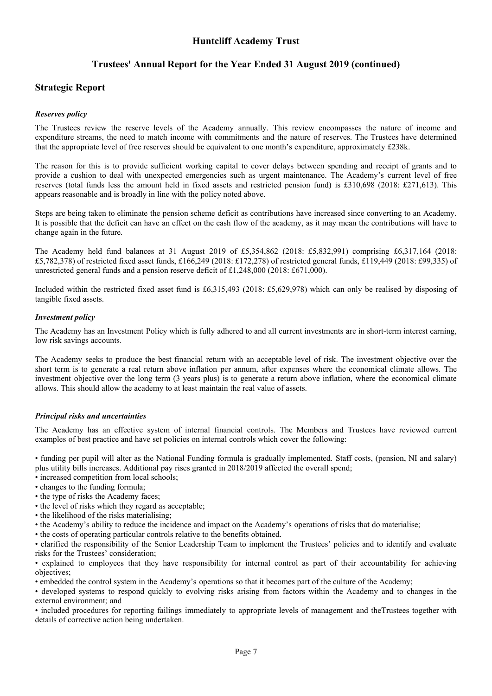# **Trustees' Annual Report for the Year Ended 31 August 2019 (continued)**

### **Strategic Report**

#### *Reserves policy*

The Trustees review the reserve levels of the Academy annually. This review encompasses the nature of income and expenditure streams, the need to match income with commitments and the nature of reserves. The Trustees have determined that the appropriate level of free reserves should be equivalent to one month's expenditure, approximately £238k.

The reason for this is to provide sufficient working capital to cover delays between spending and receipt of grants and to provide a cushion to deal with unexpected emergencies such as urgent maintenance. The Academy's current level of free reserves (total funds less the amount held in fixed assets and restricted pension fund) is £310,698 (2018: £271,613). This appears reasonable and is broadly in line with the policy noted above.

Steps are being taken to eliminate the pension scheme deficit as contributions have increased since converting to an Academy. It is possible that the deficit can have an effect on the cash flow of the academy, as it may mean the contributions will have to change again in the future.

The Academy held fund balances at 31 August 2019 of £5,354,862 (2018: £5,832,991) comprising £6,317,164 (2018: £5,782,378) of restricted fixed asset funds, £166,249 (2018: £172,278) of restricted general funds, £119,449 (2018: £99,335) of unrestricted general funds and a pension reserve deficit of £1,248,000 (2018: £671,000).

Included within the restricted fixed asset fund is £6,315,493 (2018: £5,629,978) which can only be realised by disposing of tangible fixed assets.

#### *Investment policy*

The Academy has an Investment Policy which is fully adhered to and all current investments are in short-term interest earning, low risk savings accounts.

The Academy seeks to produce the best financial return with an acceptable level of risk. The investment objective over the short term is to generate a real return above inflation per annum, after expenses where the economical climate allows. The investment objective over the long term (3 years plus) is to generate a return above inflation, where the economical climate allows. This should allow the academy to at least maintain the real value of assets.

#### *Principal risks and uncertainties*

The Academy has an effective system of internal financial controls. The Members and Trustees have reviewed current examples of best practice and have set policies on internal controls which cover the following:

• funding per pupil will alter as the National Funding formula is gradually implemented. Staff costs, (pension, NI and salary) plus utility bills increases. Additional pay rises granted in 2018/2019 affected the overall spend;

- increased competition from local schools;
- changes to the funding formula;
- the type of risks the Academy faces;
- the level of risks which they regard as acceptable;
- the likelihood of the risks materialising;
- the Academy's ability to reduce the incidence and impact on the Academy's operations of risks that do materialise;
- the costs of operating particular controls relative to the benefits obtained.

• clarified the responsibility of the Senior Leadership Team to implement the Trustees' policies and to identify and evaluate risks for the Trustees' consideration;

• explained to employees that they have responsibility for internal control as part of their accountability for achieving objectives;

• embedded the control system in the Academy's operations so that it becomes part of the culture of the Academy;

• developed systems to respond quickly to evolving risks arising from factors within the Academy and to changes in the external environment; and

• included procedures for reporting failings immediately to appropriate levels of management and theTrustees together with details of corrective action being undertaken.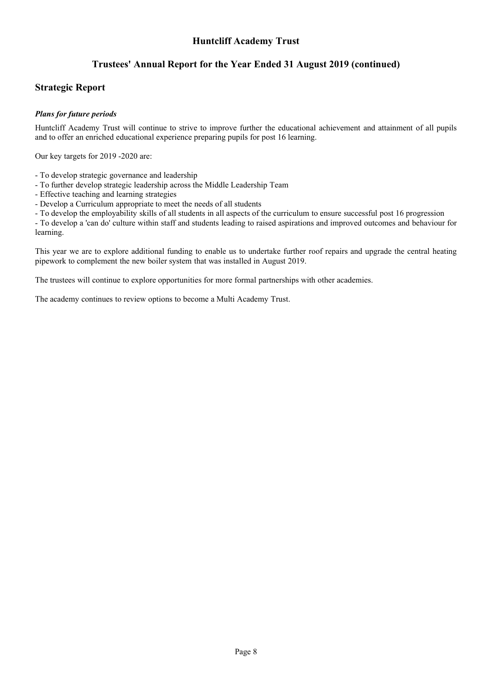# **Trustees' Annual Report for the Year Ended 31 August 2019 (continued)**

### **Strategic Report**

#### *Plans for future periods*

Huntcliff Academy Trust will continue to strive to improve further the educational achievement and attainment of all pupils and to offer an enriched educational experience preparing pupils for post 16 learning.

Our key targets for 2019 -2020 are:

- To develop strategic governance and leadership
- To further develop strategic leadership across the Middle Leadership Team
- Effective teaching and learning strategies
- Develop a Curriculum appropriate to meet the needs of all students

- To develop the employability skills of all students in all aspects of the curriculum to ensure successful post 16 progression

- To develop a 'can do' culture within staff and students leading to raised aspirations and improved outcomes and behaviour for learning.

This year we are to explore additional funding to enable us to undertake further roof repairs and upgrade the central heating pipework to complement the new boiler system that was installed in August 2019.

The trustees will continue to explore opportunities for more formal partnerships with other academies.

The academy continues to review options to become a Multi Academy Trust.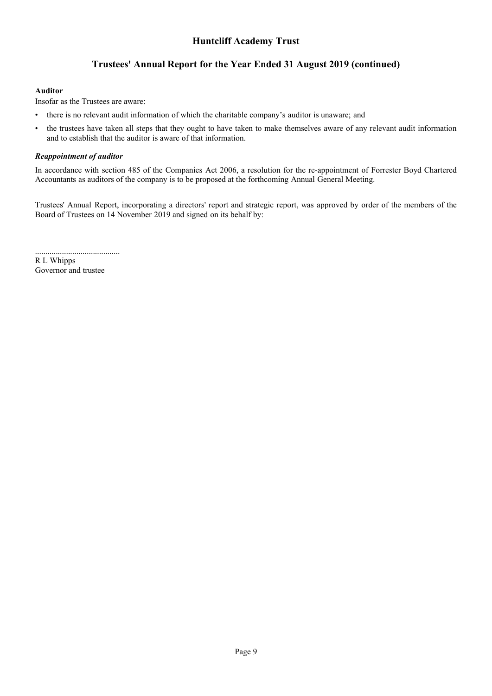# **Trustees' Annual Report for the Year Ended 31 August 2019 (continued)**

#### **Auditor**

Insofar as the Trustees are aware:

- there is no relevant audit information of which the charitable company's auditor is unaware; and
- the trustees have taken all steps that they ought to have taken to make themselves aware of any relevant audit information and to establish that the auditor is aware of that information.

#### *Reappointment of auditor*

In accordance with section 485 of the Companies Act 2006, a resolution for the re-appointment of Forrester Boyd Chartered Accountants as auditors of the company is to be proposed at the forthcoming Annual General Meeting.

Trustees' Annual Report, incorporating a directors' report and strategic report, was approved by order of the members of the Board of Trustees on 14 November 2019 and signed on its behalf by:

.........................................

R L Whipps Governor and trustee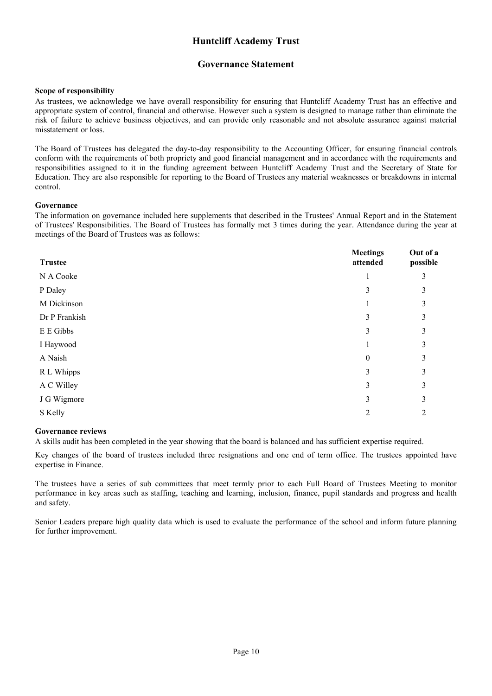### **Governance Statement**

#### <span id="page-11-0"></span>**Scope of responsibility**

As trustees, we acknowledge we have overall responsibility for ensuring that Huntcliff Academy Trust has an effective and appropriate system of control, financial and otherwise. However such a system is designed to manage rather than eliminate the risk of failure to achieve business objectives, and can provide only reasonable and not absolute assurance against material misstatement or loss.

The Board of Trustees has delegated the day-to-day responsibility to the Accounting Officer, for ensuring financial controls conform with the requirements of both propriety and good financial management and in accordance with the requirements and responsibilities assigned to it in the funding agreement between Huntcliff Academy Trust and the Secretary of State for Education. They are also responsible for reporting to the Board of Trustees any material weaknesses or breakdowns in internal control.

#### **Governance**

The information on governance included here supplements that described in the Trustees' Annual Report and in the Statement of Trustees' Responsibilities. The Board of Trustees has formally met 3 times during the year. Attendance during the year at meetings of the Board of Trustees was as follows:

| <b>Trustee</b> | <b>Meetings</b><br>attended                                                                                                                                     | Out of a<br>possible |
|----------------|-----------------------------------------------------------------------------------------------------------------------------------------------------------------|----------------------|
| N A Cooke      |                                                                                                                                                                 | 3                    |
| P Daley        | 3                                                                                                                                                               | 3                    |
| M Dickinson    |                                                                                                                                                                 | 3                    |
| Dr P Frankish  | 3                                                                                                                                                               | 3                    |
| E E Gibbs      | 3                                                                                                                                                               | 3                    |
| I Haywood      |                                                                                                                                                                 | 3                    |
| A Naish        | $\theta$                                                                                                                                                        | 3                    |
| R L Whipps     | 3                                                                                                                                                               | 3                    |
| A C Willey     | 3                                                                                                                                                               | 3                    |
| J G Wigmore    | 3                                                                                                                                                               | 3                    |
| S Kelly        | $\mathcal{D}_{\mathcal{L}}^{\mathcal{L}}(\mathcal{L})=\mathcal{L}_{\mathcal{L}}^{\mathcal{L}}(\mathcal{L})\mathcal{L}_{\mathcal{L}}^{\mathcal{L}}(\mathcal{L})$ | 2                    |

#### **Governance reviews**

A skills audit has been completed in the year showing that the board is balanced and has sufficient expertise required.

Key changes of the board of trustees included three resignations and one end of term office. The trustees appointed have expertise in Finance.

The trustees have a series of sub committees that meet termly prior to each Full Board of Trustees Meeting to monitor performance in key areas such as staffing, teaching and learning, inclusion, finance, pupil standards and progress and health and safety.

Senior Leaders prepare high quality data which is used to evaluate the performance of the school and inform future planning for further improvement.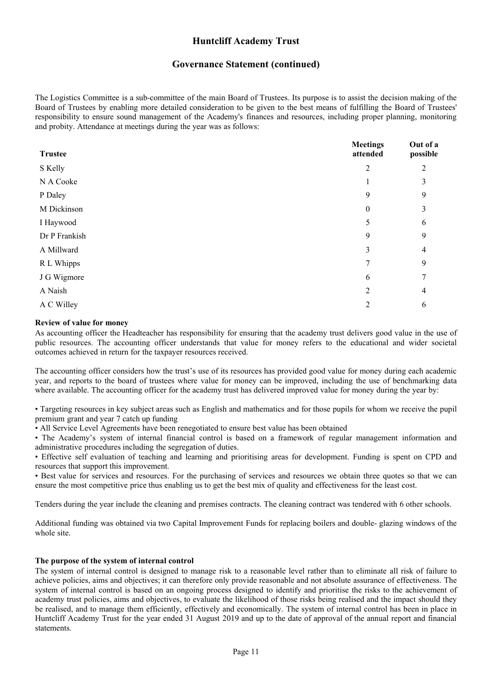### **Governance Statement (continued)**

The Logistics Committee is a sub-committee of the main Board of Trustees. Its purpose is to assist the decision making of the Board of Trustees by enabling more detailed consideration to be given to the best means of fulfilling the Board of Trustees' responsibility to ensure sound management of the Academy's finances and resources, including proper planning, monitoring and probity. Attendance at meetings during the year was as follows:

| <b>Trustee</b> | <b>Meetings</b><br>attended | Out of a<br>possible |
|----------------|-----------------------------|----------------------|
| S Kelly        | $\overline{2}$              | 2                    |
| N A Cooke      |                             | 3                    |
| P Daley        | 9                           | 9                    |
| M Dickinson    | $\theta$                    | 3                    |
| I Haywood      | 5                           | 6                    |
| Dr P Frankish  | 9                           | 9                    |
| A Millward     | 3                           | 4                    |
| R L Whipps     | 7                           | 9                    |
| J G Wigmore    | 6                           | 7                    |
| A Naish        | $\mathfrak{D}$              | 4                    |
| A C Willey     | $\overline{2}$              | 6                    |

#### **Review of value for money**

As accounting officer the Headteacher has responsibility for ensuring that the academy trust delivers good value in the use of public resources. The accounting officer understands that value for money refers to the educational and wider societal outcomes achieved in return for the taxpayer resources received.

The accounting officer considers how the trust's use of its resources has provided good value for money during each academic year, and reports to the board of trustees where value for money can be improved, including the use of benchmarking data where available. The accounting officer for the academy trust has delivered improved value for money during the year by:

• Targeting resources in key subject areas such as English and mathematics and for those pupils for whom we receive the pupil premium grant and year 7 catch up funding

• All Service Level Agreements have been renegotiated to ensure best value has been obtained

• The Academy's system of internal financial control is based on a framework of regular management information and administrative procedures including the segregation of duties.

• Effective self evaluation of teaching and learning and prioritising areas for development. Funding is spent on CPD and resources that support this improvement.

• Best value for services and resources. For the purchasing of services and resources we obtain three quotes so that we can ensure the most competitive price thus enabling us to get the best mix of quality and effectiveness for the least cost.

Tenders during the year include the cleaning and premises contracts. The cleaning contract was tendered with 6 other schools.

Additional funding was obtained via two Capital Improvement Funds for replacing boilers and double- glazing windows of the whole site.

#### **The purpose of the system of internal control**

The system of internal control is designed to manage risk to a reasonable level rather than to eliminate all risk of failure to achieve policies, aims and objectives; it can therefore only provide reasonable and not absolute assurance of effectiveness. The system of internal control is based on an ongoing process designed to identify and prioritise the risks to the achievement of academy trust policies, aims and objectives, to evaluate the likelihood of those risks being realised and the impact should they be realised, and to manage them efficiently, effectively and economically. The system of internal control has been in place in Huntcliff Academy Trust for the year ended 31 August 2019 and up to the date of approval of the annual report and financial statements.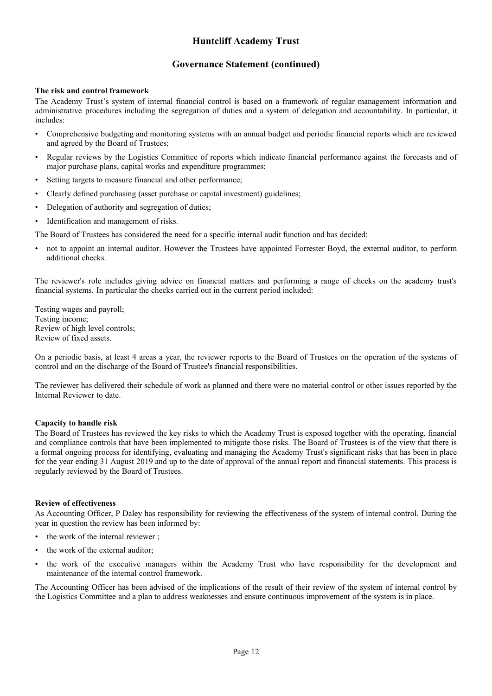### **Governance Statement (continued)**

#### **The risk and control framework**

The Academy Trust's system of internal financial control is based on a framework of regular management information and administrative procedures including the segregation of duties and a system of delegation and accountability. In particular, it includes:

- Comprehensive budgeting and monitoring systems with an annual budget and periodic financial reports which are reviewed and agreed by the Board of Trustees;
- Regular reviews by the Logistics Committee of reports which indicate financial performance against the forecasts and of major purchase plans, capital works and expenditure programmes;
- Setting targets to measure financial and other performance;
- Clearly defined purchasing (asset purchase or capital investment) guidelines;
- Delegation of authority and segregation of duties;
- Identification and management of risks.

The Board of Trustees has considered the need for a specific internal audit function and has decided:

• not to appoint an internal auditor. However the Trustees have appointed Forrester Boyd, the external auditor, to perform additional checks.

The reviewer's role includes giving advice on financial matters and performing a range of checks on the academy trust's financial systems. In particular the checks carried out in the current period included:

Testing wages and payroll; Testing income; Review of high level controls; Review of fixed assets.

On a periodic basis, at least 4 areas a year, the reviewer reports to the Board of Trustees on the operation of the systems of control and on the discharge of the Board of Trustee's financial responsibilities.

The reviewer has delivered their schedule of work as planned and there were no material control or other issues reported by the Internal Reviewer to date.

#### **Capacity to handle risk**

The Board of Trustees has reviewed the key risks to which the Academy Trust is exposed together with the operating, financial and compliance controls that have been implemented to mitigate those risks. The Board of Trustees is of the view that there is a formal ongoing process for identifying, evaluating and managing the Academy Trust's significant risks that has been in place for the year ending 31 August 2019 and up to the date of approval of the annual report and financial statements. This process is regularly reviewed by the Board of Trustees.

#### **Review of effectiveness**

As Accounting Officer, P Daley has responsibility for reviewing the effectiveness of the system of internal control. During the year in question the review has been informed by:

- the work of the internal reviewer :
- the work of the external auditor;
- the work of the executive managers within the Academy Trust who have responsibility for the development and maintenance of the internal control framework.

The Accounting Officer has been advised of the implications of the result of their review of the system of internal control by the Logistics Committee and a plan to address weaknesses and ensure continuous improvement of the system is in place.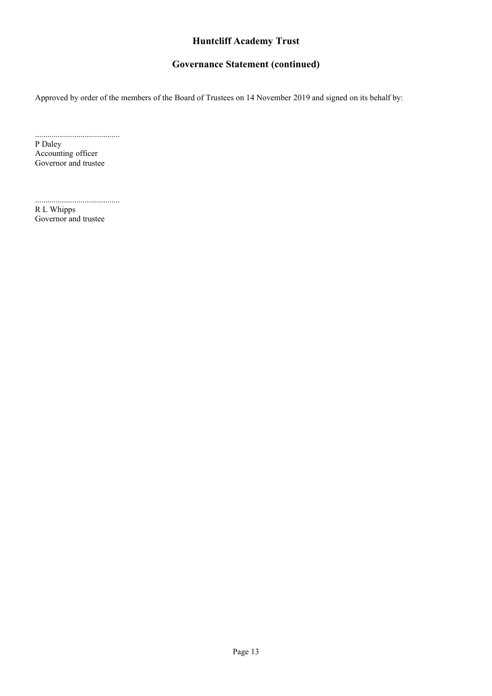# **Governance Statement (continued)**

Approved by order of the members of the Board of Trustees on 14 November 2019 and signed on its behalf by:

......................................... P Daley Accounting officer Governor and trustee

.........................................

R L Whipps Governor and trustee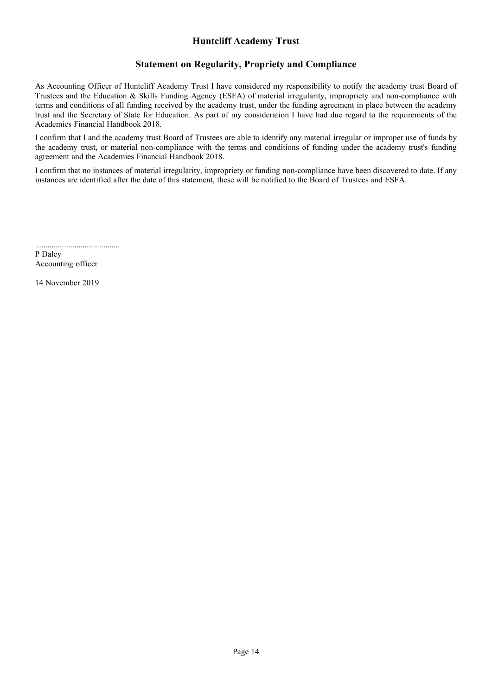## **Statement on Regularity, Propriety and Compliance**

<span id="page-15-0"></span>As Accounting Officer of Huntcliff Academy Trust I have considered my responsibility to notify the academy trust Board of Trustees and the Education & Skills Funding Agency (ESFA) of material irregularity, impropriety and non-compliance with terms and conditions of all funding received by the academy trust, under the funding agreement in place between the academy trust and the Secretary of State for Education. As part of my consideration I have had due regard to the requirements of the Academies Financial Handbook 2018.

I confirm that I and the academy trust Board of Trustees are able to identify any material irregular or improper use of funds by the academy trust, or material non-compliance with the terms and conditions of funding under the academy trust's funding agreement and the Academies Financial Handbook 2018.

I confirm that no instances of material irregularity, impropriety or funding non-compliance have been discovered to date. If any instances are identified after the date of this statement, these will be notified to the Board of Trustees and ESFA.

......................................... P Daley Accounting officer

14 November 2019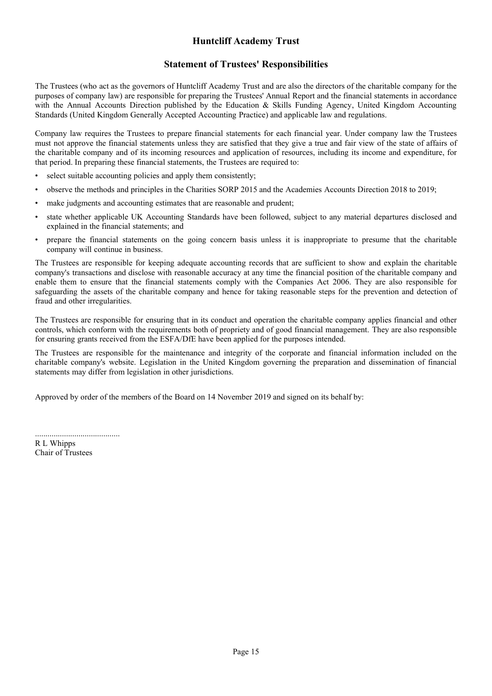### **Statement of Trustees' Responsibilities**

<span id="page-16-0"></span>The Trustees (who act as the governors of Huntcliff Academy Trust and are also the directors of the charitable company for the purposes of company law) are responsible for preparing the Trustees' Annual Report and the financial statements in accordance with the Annual Accounts Direction published by the Education & Skills Funding Agency, United Kingdom Accounting Standards (United Kingdom Generally Accepted Accounting Practice) and applicable law and regulations.

Company law requires the Trustees to prepare financial statements for each financial year. Under company law the Trustees must not approve the financial statements unless they are satisfied that they give a true and fair view of the state of affairs of the charitable company and of its incoming resources and application of resources, including its income and expenditure, for that period. In preparing these financial statements, the Trustees are required to:

- select suitable accounting policies and apply them consistently;
- observe the methods and principles in the Charities SORP 2015 and the Academies Accounts Direction 2018 to 2019;
- make judgments and accounting estimates that are reasonable and prudent;
- state whether applicable UK Accounting Standards have been followed, subject to any material departures disclosed and explained in the financial statements; and
- prepare the financial statements on the going concern basis unless it is inappropriate to presume that the charitable company will continue in business.

The Trustees are responsible for keeping adequate accounting records that are sufficient to show and explain the charitable company's transactions and disclose with reasonable accuracy at any time the financial position of the charitable company and enable them to ensure that the financial statements comply with the Companies Act 2006. They are also responsible for safeguarding the assets of the charitable company and hence for taking reasonable steps for the prevention and detection of fraud and other irregularities.

The Trustees are responsible for ensuring that in its conduct and operation the charitable company applies financial and other controls, which conform with the requirements both of propriety and of good financial management. They are also responsible for ensuring grants received from the ESFA/DfE have been applied for the purposes intended.

The Trustees are responsible for the maintenance and integrity of the corporate and financial information included on the charitable company's website. Legislation in the United Kingdom governing the preparation and dissemination of financial statements may differ from legislation in other jurisdictions.

Approved by order of the members of the Board on 14 November 2019 and signed on its behalf by:

......................................... R L Whipps Chair of Trustees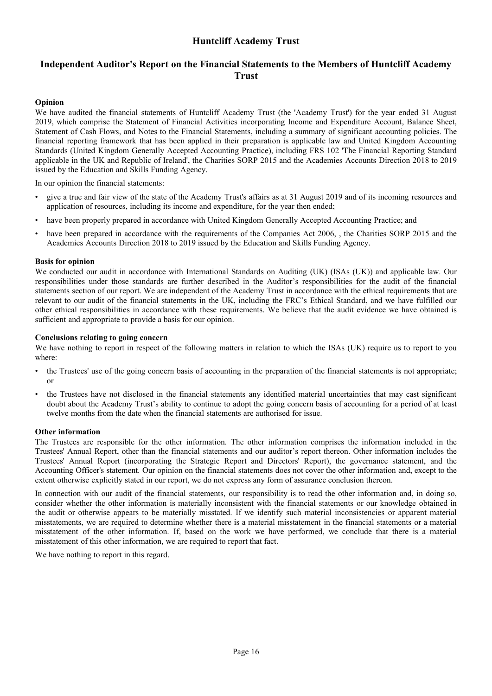## <span id="page-17-0"></span>**Independent Auditor's Report on the Financial Statements to the Members of Huntcliff Academy Trust**

### **Opinion**

We have audited the financial statements of Huntcliff Academy Trust (the 'Academy Trust') for the year ended 31 August 2019, which comprise the Statement of Financial Activities incorporating Income and Expenditure Account, Balance Sheet, Statement of Cash Flows, and Notes to the Financial Statements, including a summary of significant accounting policies. The financial reporting framework that has been applied in their preparation is applicable law and United Kingdom Accounting Standards (United Kingdom Generally Accepted Accounting Practice), including FRS 102 'The Financial Reporting Standard applicable in the UK and Republic of Ireland', the Charities SORP 2015 and the Academies Accounts Direction 2018 to 2019 issued by the Education and Skills Funding Agency.

In our opinion the financial statements:

- give a true and fair view of the state of the Academy Trust's affairs as at 31 August 2019 and of its incoming resources and application of resources, including its income and expenditure, for the year then ended;
- have been properly prepared in accordance with United Kingdom Generally Accepted Accounting Practice; and
- have been prepared in accordance with the requirements of the Companies Act 2006,, the Charities SORP 2015 and the Academies Accounts Direction 2018 to 2019 issued by the Education and Skills Funding Agency.

#### **Basis for opinion**

We conducted our audit in accordance with International Standards on Auditing (UK) (ISAs (UK)) and applicable law. Our responsibilities under those standards are further described in the Auditor's responsibilities for the audit of the financial statements section of our report. We are independent of the Academy Trust in accordance with the ethical requirements that are relevant to our audit of the financial statements in the UK, including the FRC's Ethical Standard, and we have fulfilled our other ethical responsibilities in accordance with these requirements. We believe that the audit evidence we have obtained is sufficient and appropriate to provide a basis for our opinion.

#### **Conclusions relating to going concern**

We have nothing to report in respect of the following matters in relation to which the ISAs (UK) require us to report to you where:

- the Trustees' use of the going concern basis of accounting in the preparation of the financial statements is not appropriate; or
- the Trustees have not disclosed in the financial statements any identified material uncertainties that may cast significant doubt about the Academy Trust's ability to continue to adopt the going concern basis of accounting for a period of at least twelve months from the date when the financial statements are authorised for issue.

#### **Other information**

The Trustees are responsible for the other information. The other information comprises the information included in the Trustees' Annual Report, other than the financial statements and our auditor's report thereon. Other information includes the Trustees' Annual Report (incorporating the Strategic Report and Directors' Report), the governance statement, and the Accounting Officer's statement. Our opinion on the financial statements does not cover the other information and, except to the extent otherwise explicitly stated in our report, we do not express any form of assurance conclusion thereon.

In connection with our audit of the financial statements, our responsibility is to read the other information and, in doing so, consider whether the other information is materially inconsistent with the financial statements or our knowledge obtained in the audit or otherwise appears to be materially misstated. If we identify such material inconsistencies or apparent material misstatements, we are required to determine whether there is a material misstatement in the financial statements or a material misstatement of the other information. If, based on the work we have performed, we conclude that there is a material misstatement of this other information, we are required to report that fact.

We have nothing to report in this regard.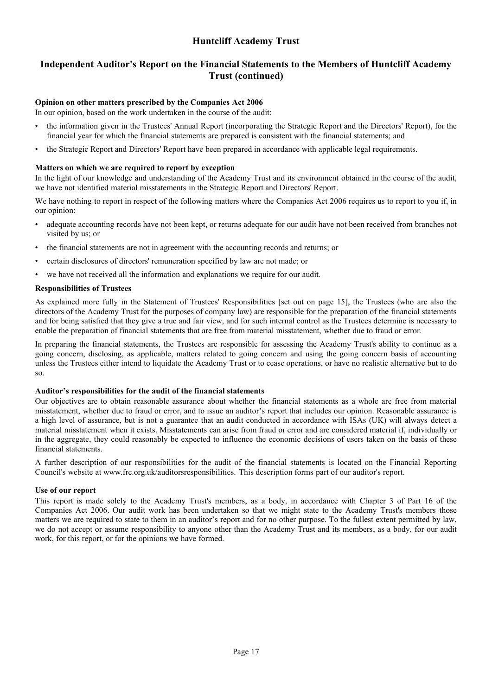### **Independent Auditor's Report on the Financial Statements to the Members of Huntcliff Academy Trust (continued)**

### **Opinion on other matters prescribed by the Companies Act 2006**

In our opinion, based on the work undertaken in the course of the audit:

- the information given in the Trustees' Annual Report (incorporating the Strategic Report and the Directors' Report), for the financial year for which the financial statements are prepared is consistent with the financial statements; and
- the Strategic Report and Directors' Report have been prepared in accordance with applicable legal requirements.

#### **Matters on which we are required to report by exception**

In the light of our knowledge and understanding of the Academy Trust and its environment obtained in the course of the audit, we have not identified material misstatements in the Strategic Report and Directors' Report.

We have nothing to report in respect of the following matters where the Companies Act 2006 requires us to report to you if, in our opinion:

- adequate accounting records have not been kept, or returns adequate for our audit have not been received from branches not visited by us; or
- the financial statements are not in agreement with the accounting records and returns; or
- certain disclosures of directors' remuneration specified by law are not made; or
- we have not received all the information and explanations we require for our audit.

#### **Responsibilities of Trustees**

As explained more fully in the Statement of Trustees' Responsibilities [set out on page [15\]](#page-16-0), the Trustees (who are also the directors of the Academy Trust for the purposes of company law) are responsible for the preparation of the financial statements and for being satisfied that they give a true and fair view, and for such internal control as the Trustees determine is necessary to enable the preparation of financial statements that are free from material misstatement, whether due to fraud or error.

In preparing the financial statements, the Trustees are responsible for assessing the Academy Trust's ability to continue as a going concern, disclosing, as applicable, matters related to going concern and using the going concern basis of accounting unless the Trustees either intend to liquidate the Academy Trust or to cease operations, or have no realistic alternative but to do so.

#### **Auditor's responsibilities for the audit of the financial statements**

Our objectives are to obtain reasonable assurance about whether the financial statements as a whole are free from material misstatement, whether due to fraud or error, and to issue an auditor's report that includes our opinion. Reasonable assurance is a high level of assurance, but is not a guarantee that an audit conducted in accordance with ISAs (UK) will always detect a material misstatement when it exists. Misstatements can arise from fraud or error and are considered material if, individually or in the aggregate, they could reasonably be expected to influence the economic decisions of users taken on the basis of these financial statements.

A further description of our responsibilities for the audit of the financial statements is located on the Financial Reporting Council's website at www.frc.org.uk/auditorsresponsibilities. This description forms part of our auditor's report.

#### **Use of our report**

This report is made solely to the Academy Trust's members, as a body, in accordance with Chapter 3 of Part 16 of the Companies Act 2006. Our audit work has been undertaken so that we might state to the Academy Trust's members those matters we are required to state to them in an auditor's report and for no other purpose. To the fullest extent permitted by law, we do not accept or assume responsibility to anyone other than the Academy Trust and its members, as a body, for our audit work, for this report, or for the opinions we have formed.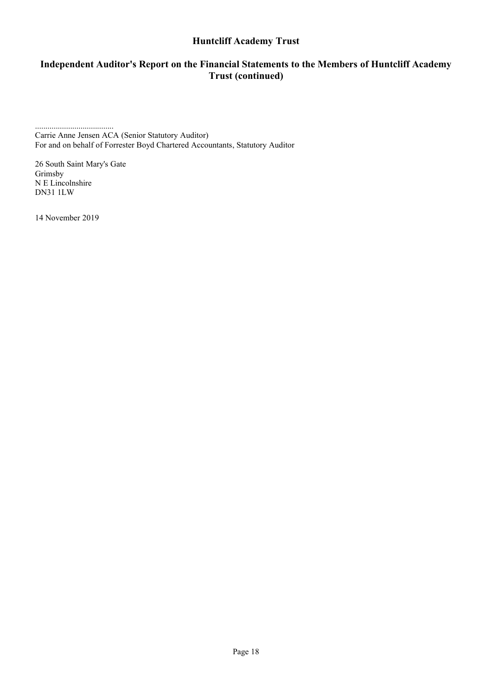# **Independent Auditor's Report on the Financial Statements to the Members of Huntcliff Academy Trust (continued)**

...................................... Carrie Anne Jensen ACA (Senior Statutory Auditor) For and on behalf of Forrester Boyd Chartered Accountants, Statutory Auditor

26 South Saint Mary's Gate Grimsby N E Lincolnshire DN31 1LW

14 November 2019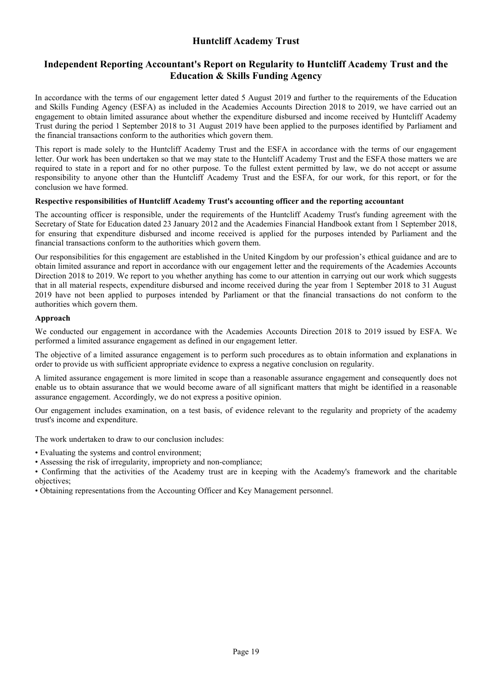### **Independent Reporting Accountant's Report on Regularity to Huntcliff Academy Trust and the Education & Skills Funding Agency**

<span id="page-20-0"></span>In accordance with the terms of our engagement letter dated 5 August 2019 and further to the requirements of the Education and Skills Funding Agency (ESFA) as included in the Academies Accounts Direction 2018 to 2019, we have carried out an engagement to obtain limited assurance about whether the expenditure disbursed and income received by Huntcliff Academy Trust during the period 1 September 2018 to 31 August 2019 have been applied to the purposes identified by Parliament and the financial transactions conform to the authorities which govern them.

This report is made solely to the Huntcliff Academy Trust and the ESFA in accordance with the terms of our engagement letter. Our work has been undertaken so that we may state to the Huntcliff Academy Trust and the ESFA those matters we are required to state in a report and for no other purpose. To the fullest extent permitted by law, we do not accept or assume responsibility to anyone other than the Huntcliff Academy Trust and the ESFA, for our work, for this report, or for the conclusion we have formed.

#### **Respective responsibilities of Huntcliff Academy Trust's accounting officer and the reporting accountant**

The accounting officer is responsible, under the requirements of the Huntcliff Academy Trust's funding agreement with the Secretary of State for Education dated 23 January 2012 and the Academies Financial Handbook extant from 1 September 2018, for ensuring that expenditure disbursed and income received is applied for the purposes intended by Parliament and the financial transactions conform to the authorities which govern them.

Our responsibilities for this engagement are established in the United Kingdom by our profession's ethical guidance and are to obtain limited assurance and report in accordance with our engagement letter and the requirements of the Academies Accounts Direction 2018 to 2019. We report to you whether anything has come to our attention in carrying out our work which suggests that in all material respects, expenditure disbursed and income received during the year from 1 September 2018 to 31 August 2019 have not been applied to purposes intended by Parliament or that the financial transactions do not conform to the authorities which govern them.

### **Approach**

We conducted our engagement in accordance with the Academies Accounts Direction 2018 to 2019 issued by ESFA. We performed a limited assurance engagement as defined in our engagement letter.

The objective of a limited assurance engagement is to perform such procedures as to obtain information and explanations in order to provide us with sufficient appropriate evidence to express a negative conclusion on regularity.

A limited assurance engagement is more limited in scope than a reasonable assurance engagement and consequently does not enable us to obtain assurance that we would become aware of all significant matters that might be identified in a reasonable assurance engagement. Accordingly, we do not express a positive opinion.

Our engagement includes examination, on a test basis, of evidence relevant to the regularity and propriety of the academy trust's income and expenditure.

The work undertaken to draw to our conclusion includes:

- Evaluating the systems and control environment;
- Assessing the risk of irregularity, impropriety and non-compliance;
- Confirming that the activities of the Academy trust are in keeping with the Academy's framework and the charitable objectives;
- Obtaining representations from the Accounting Officer and Key Management personnel.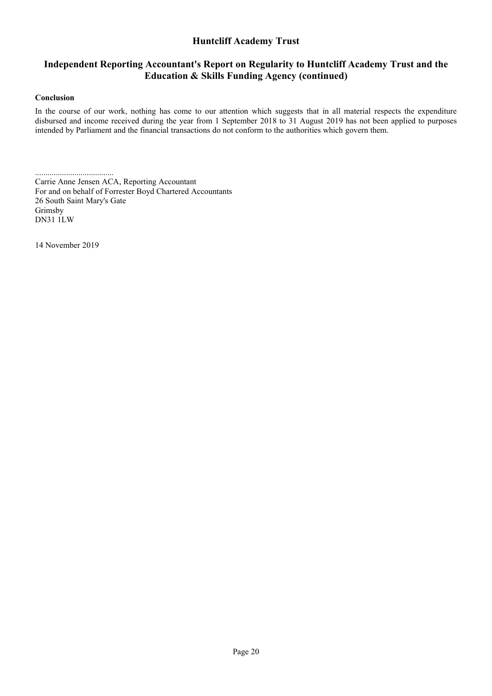### **Independent Reporting Accountant's Report on Regularity to Huntcliff Academy Trust and the Education & Skills Funding Agency (continued)**

#### **Conclusion**

In the course of our work, nothing has come to our attention which suggests that in all material respects the expenditure disbursed and income received during the year from 1 September 2018 to 31 August 2019 has not been applied to purposes intended by Parliament and the financial transactions do not conform to the authorities which govern them.

...................................... Carrie Anne Jensen ACA, Reporting Accountant For and on behalf of Forrester Boyd Chartered Accountants 26 South Saint Mary's Gate Grimsby DN31 1LW

14 November 2019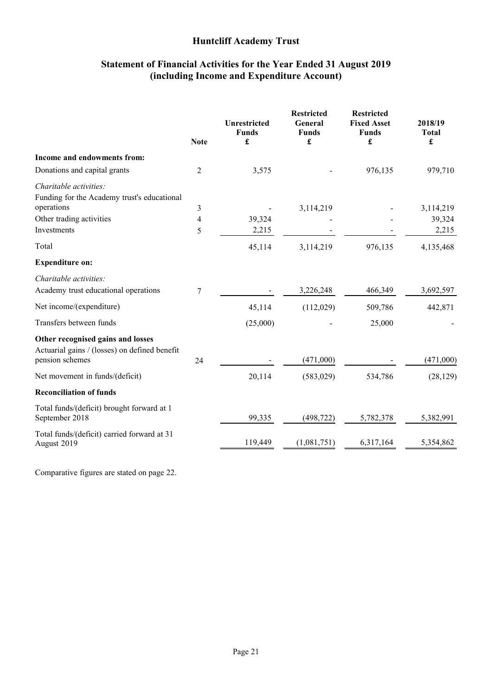### **Statement of Financial Activities for the Year Ended 31 August 2019 (including Income and Expenditure Account)**

<span id="page-22-0"></span>

|                                                                                    | <b>Note</b> | <b>Unrestricted</b><br><b>Funds</b><br>£ | <b>Restricted</b><br>General<br><b>Funds</b><br>£ | <b>Restricted</b><br><b>Fixed Asset</b><br><b>Funds</b><br>£ | 2018/19<br><b>Total</b><br>£ |
|------------------------------------------------------------------------------------|-------------|------------------------------------------|---------------------------------------------------|--------------------------------------------------------------|------------------------------|
| Income and endowments from:                                                        |             |                                          |                                                   |                                                              |                              |
| Donations and capital grants                                                       | 2           | 3,575                                    |                                                   | 976,135                                                      | 979,710                      |
| Charitable activities:                                                             |             |                                          |                                                   |                                                              |                              |
| Funding for the Academy trust's educational                                        |             |                                          |                                                   |                                                              |                              |
| operations                                                                         | 3           |                                          | 3,114,219                                         |                                                              | 3,114,219                    |
| Other trading activities                                                           | 4           | 39,324                                   |                                                   |                                                              | 39,324                       |
| Investments                                                                        | 5           | 2,215                                    |                                                   |                                                              | 2,215                        |
| Total                                                                              |             | 45,114                                   | 3,114,219                                         | 976,135                                                      | 4,135,468                    |
| <b>Expenditure on:</b>                                                             |             |                                          |                                                   |                                                              |                              |
| Charitable activities:                                                             |             |                                          |                                                   |                                                              |                              |
| Academy trust educational operations                                               | 7           |                                          | 3,226,248                                         | 466,349                                                      | 3,692,597                    |
| Net income/(expenditure)                                                           |             | 45,114                                   | (112,029)                                         | 509,786                                                      | 442,871                      |
| Transfers between funds                                                            |             | (25,000)                                 |                                                   | 25,000                                                       |                              |
| Other recognised gains and losses<br>Actuarial gains / (losses) on defined benefit |             |                                          |                                                   |                                                              |                              |
| pension schemes                                                                    | 24          |                                          | (471,000)                                         |                                                              | (471,000)                    |
| Net movement in funds/(deficit)                                                    |             | 20,114                                   | (583, 029)                                        | 534,786                                                      | (28, 129)                    |
| <b>Reconciliation of funds</b>                                                     |             |                                          |                                                   |                                                              |                              |
| Total funds/(deficit) brought forward at 1<br>September 2018                       |             | 99,335                                   | (498, 722)                                        | 5,782,378                                                    | 5,382,991                    |
| Total funds/(deficit) carried forward at 31<br>August 2019                         |             | 119,449                                  | (1,081,751)                                       | 6,317,164                                                    | 5,354,862                    |

Comparative figures are stated on page 22.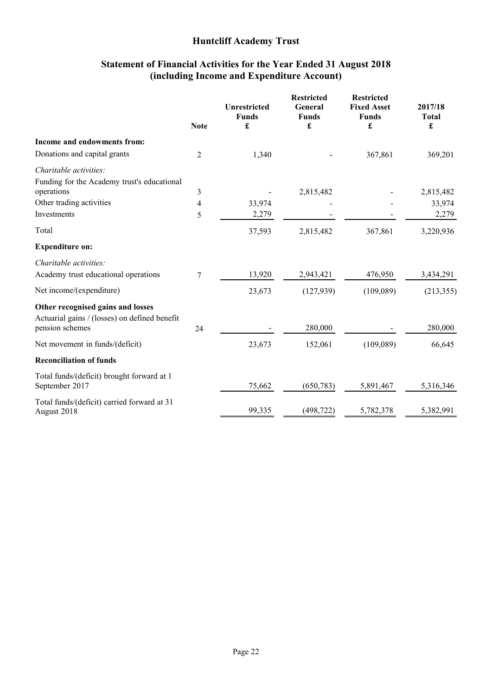### **Statement of Financial Activities for the Year Ended 31 August 2018 (including Income and Expenditure Account)**

|                                                                  | <b>Note</b>    | <b>Unrestricted</b><br><b>Funds</b><br>£ | <b>Restricted</b><br>General<br><b>Funds</b><br>£ | <b>Restricted</b><br><b>Fixed Asset</b><br><b>Funds</b><br>£ | 2017/18<br><b>Total</b><br>£ |
|------------------------------------------------------------------|----------------|------------------------------------------|---------------------------------------------------|--------------------------------------------------------------|------------------------------|
| Income and endowments from:                                      |                |                                          |                                                   |                                                              |                              |
| Donations and capital grants                                     | $\overline{c}$ | 1,340                                    |                                                   | 367,861                                                      | 369,201                      |
| Charitable activities:                                           |                |                                          |                                                   |                                                              |                              |
| Funding for the Academy trust's educational<br>operations        | 3              |                                          | 2,815,482                                         |                                                              | 2,815,482                    |
| Other trading activities                                         | 4              | 33,974                                   |                                                   |                                                              | 33,974                       |
| Investments                                                      | 5              | 2,279                                    |                                                   |                                                              | 2,279                        |
| Total                                                            |                | 37,593                                   | 2,815,482                                         | 367,861                                                      | 3,220,936                    |
| <b>Expenditure on:</b>                                           |                |                                          |                                                   |                                                              |                              |
| Charitable activities:                                           |                |                                          |                                                   |                                                              |                              |
| Academy trust educational operations                             | 7              | 13,920                                   | 2,943,421                                         | 476,950                                                      | 3,434,291                    |
| Net income/(expenditure)                                         |                | 23,673                                   | (127,939)                                         | (109,089)                                                    | (213, 355)                   |
| Other recognised gains and losses                                |                |                                          |                                                   |                                                              |                              |
| Actuarial gains / (losses) on defined benefit<br>pension schemes | 24             |                                          | 280,000                                           |                                                              | 280,000                      |
| Net movement in funds/(deficit)                                  |                | 23,673                                   | 152,061                                           | (109,089)                                                    | 66,645                       |
| <b>Reconciliation of funds</b>                                   |                |                                          |                                                   |                                                              |                              |
| Total funds/(deficit) brought forward at 1<br>September 2017     |                | 75,662                                   | (650, 783)                                        | 5,891,467                                                    | 5,316,346                    |
| Total funds/(deficit) carried forward at 31<br>August 2018       |                | 99,335                                   | (498, 722)                                        | 5,782,378                                                    | 5,382,991                    |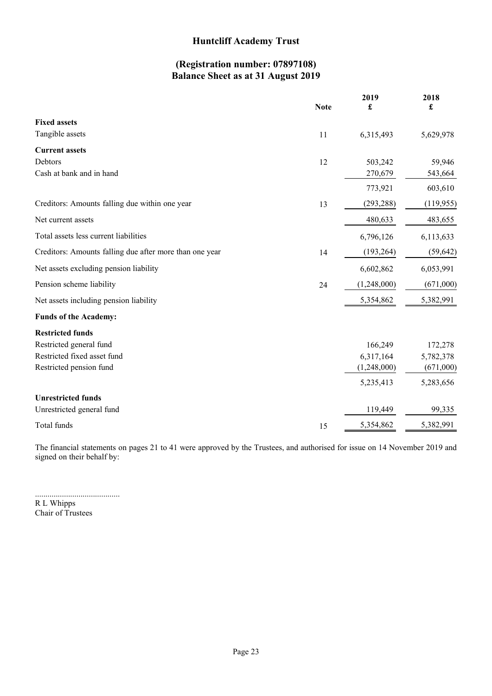# **(Registration number: 07897108) Balance Sheet as at 31 August 2019**

<span id="page-24-0"></span>

|                                                         | <b>Note</b> | 2019<br>£   | 2018<br>£  |
|---------------------------------------------------------|-------------|-------------|------------|
| <b>Fixed assets</b>                                     |             |             |            |
| Tangible assets                                         | 11          | 6,315,493   | 5,629,978  |
| <b>Current assets</b>                                   |             |             |            |
| Debtors                                                 | 12          | 503,242     | 59,946     |
| Cash at bank and in hand                                |             | 270,679     | 543,664    |
|                                                         |             | 773,921     | 603,610    |
| Creditors: Amounts falling due within one year          | 13          | (293, 288)  | (119, 955) |
| Net current assets                                      |             | 480,633     | 483,655    |
| Total assets less current liabilities                   |             | 6,796,126   | 6,113,633  |
| Creditors: Amounts falling due after more than one year | 14          | (193, 264)  | (59, 642)  |
| Net assets excluding pension liability                  |             | 6,602,862   | 6,053,991  |
| Pension scheme liability                                | 24          | (1,248,000) | (671,000)  |
| Net assets including pension liability                  |             | 5,354,862   | 5,382,991  |
| <b>Funds of the Academy:</b>                            |             |             |            |
| <b>Restricted funds</b>                                 |             |             |            |
| Restricted general fund                                 |             | 166,249     | 172,278    |
| Restricted fixed asset fund                             |             | 6,317,164   | 5,782,378  |
| Restricted pension fund                                 |             | (1,248,000) | (671,000)  |
|                                                         |             | 5,235,413   | 5,283,656  |
| <b>Unrestricted funds</b>                               |             |             |            |
| Unrestricted general fund                               |             | 119,449     | 99,335     |
| Total funds                                             | 15          | 5,354,862   | 5,382,991  |

The financial statements on pages [21](#page-22-0) to [41](#page-22-0) were approved by the Trustees, and authorised for issue on 14 November 2019 and signed on their behalf by:

......................................... R L Whipps Chair of Trustees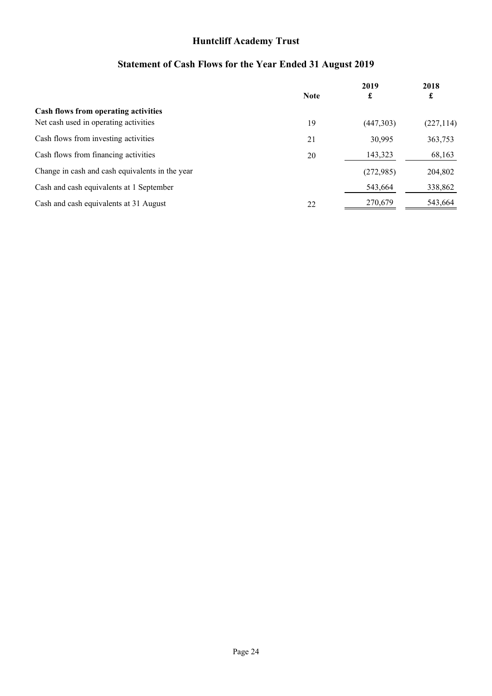# **Statement of Cash Flows for the Year Ended 31 August 2019**

<span id="page-25-0"></span>

|                                                 | <b>Note</b> | 2019<br>£ | 2018<br>£  |
|-------------------------------------------------|-------------|-----------|------------|
| <b>Cash flows from operating activities</b>     |             |           |            |
| Net cash used in operating activities           | 19          | (447,303) | (227, 114) |
| Cash flows from investing activities            | 21          | 30,995    | 363,753    |
| Cash flows from financing activities            | 20          | 143,323   | 68,163     |
| Change in cash and cash equivalents in the year |             | (272,985) | 204,802    |
| Cash and cash equivalents at 1 September        |             | 543,664   | 338,862    |
| Cash and cash equivalents at 31 August          | 22          | 270,679   | 543,664    |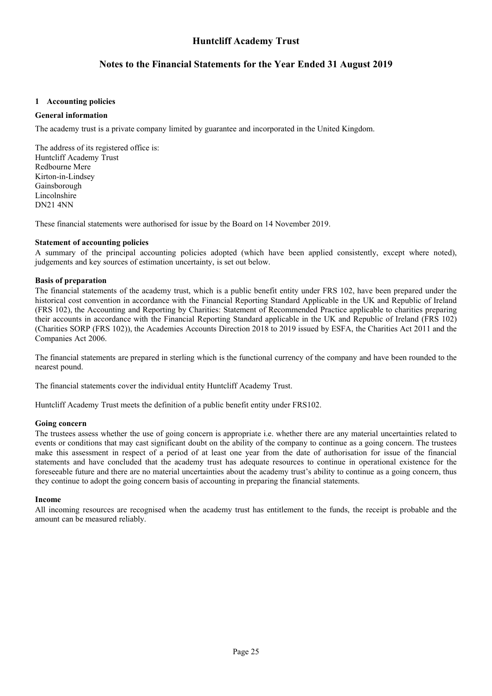### **Notes to the Financial Statements for the Year Ended 31 August 2019**

#### <span id="page-26-0"></span>**[1](#page-26-0) Accounting policies**

#### **General information**

The academy trust is a private company limited by guarantee and incorporated in the United Kingdom.

The address of its registered office is: Huntcliff Academy Trust Redbourne Mere Kirton-in-Lindsey Gainsborough Lincolnshire DN21 4NN

These financial statements were authorised for issue by the Board on 14 November 2019.

#### **Statement of accounting policies**

A summary of the principal accounting policies adopted (which have been applied consistently, except where noted), judgements and key sources of estimation uncertainty, is set out below.

#### **Basis of preparation**

The financial statements of the academy trust, which is a public benefit entity under FRS 102, have been prepared under the historical cost convention in accordance with the Financial Reporting Standard Applicable in the UK and Republic of Ireland (FRS 102), the Accounting and Reporting by Charities: Statement of Recommended Practice applicable to charities preparing their accounts in accordance with the Financial Reporting Standard applicable in the UK and Republic of Ireland (FRS 102) (Charities SORP (FRS 102)), the Academies Accounts Direction 2018 to 2019 issued by ESFA, the Charities Act 2011 and the Companies Act 2006.

The financial statements are prepared in sterling which is the functional currency of the company and have been rounded to the nearest pound.

The financial statements cover the individual entity Huntcliff Academy Trust.

Huntcliff Academy Trust meets the definition of a public benefit entity under FRS102.

#### **Going concern**

The trustees assess whether the use of going concern is appropriate i.e. whether there are any material uncertainties related to events or conditions that may cast significant doubt on the ability of the company to continue as a going concern. The trustees make this assessment in respect of a period of at least one year from the date of authorisation for issue of the financial statements and have concluded that the academy trust has adequate resources to continue in operational existence for the foreseeable future and there are no material uncertainties about the academy trust's ability to continue as a going concern, thus they continue to adopt the going concern basis of accounting in preparing the financial statements.

#### **Income**

All incoming resources are recognised when the academy trust has entitlement to the funds, the receipt is probable and the amount can be measured reliably.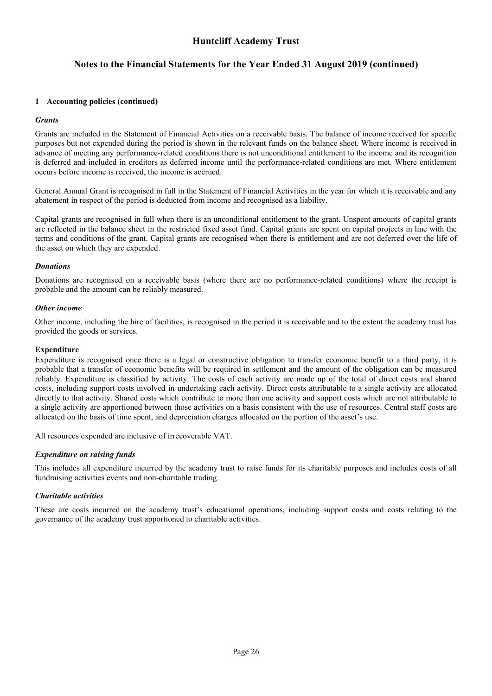## **Notes to the Financial Statements for the Year Ended 31 August 2019 (continued)**

#### **[1](#page-26-0) Accounting policies (continued)**

#### *Grants*

Grants are included in the Statement of Financial Activities on a receivable basis. The balance of income received for specific purposes but not expended during the period is shown in the relevant funds on the balance sheet. Where income is received in advance of meeting any performance-related conditions there is not unconditional entitlement to the income and its recognition is deferred and included in creditors as deferred income until the performance-related conditions are met. Where entitlement occurs before income is received, the income is accrued.

General Annual Grant is recognised in full in the Statement of Financial Activities in the year for which it is receivable and any abatement in respect of the period is deducted from income and recognised as a liability.

Capital grants are recognised in full when there is an unconditional entitlement to the grant. Unspent amounts of capital grants are reflected in the balance sheet in the restricted fixed asset fund. Capital grants are spent on capital projects in line with the terms and conditions of the grant. Capital grants are recognised when there is entitlement and are not deferred over the life of the asset on which they are expended.

#### *Donations*

Donations are recognised on a receivable basis (where there are no performance-related conditions) where the receipt is probable and the amount can be reliably measured.

#### *Other income*

Other income, including the hire of facilities, is recognised in the period it is receivable and to the extent the academy trust has provided the goods or services.

#### **Expenditure**

Expenditure is recognised once there is a legal or constructive obligation to transfer economic benefit to a third party, it is probable that a transfer of economic benefits will be required in settlement and the amount of the obligation can be measured reliably. Expenditure is classified by activity. The costs of each activity are made up of the total of direct costs and shared costs, including support costs involved in undertaking each activity. Direct costs attributable to a single activity are allocated directly to that activity. Shared costs which contribute to more than one activity and support costs which are not attributable to a single activity are apportioned between those activities on a basis consistent with the use of resources. Central staff costs are allocated on the basis of time spent, and depreciation charges allocated on the portion of the asset's use.

All resources expended are inclusive of irrecoverable VAT.

#### *Expenditure on raising funds*

This includes all expenditure incurred by the academy trust to raise funds for its charitable purposes and includes costs of all fundraising activities events and non-charitable trading.

#### *Charitable activities*

These are costs incurred on the academy trust's educational operations, including support costs and costs relating to the governance of the academy trust apportioned to charitable activities.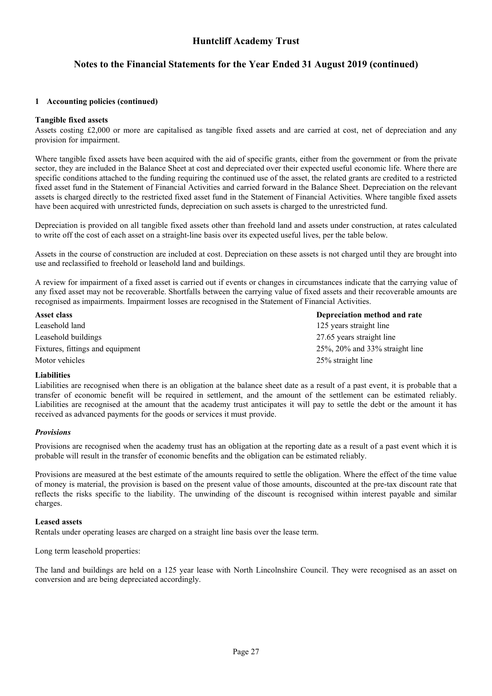## **Notes to the Financial Statements for the Year Ended 31 August 2019 (continued)**

#### **[1](#page-26-0) Accounting policies (continued)**

#### **Tangible fixed assets**

Assets costing £2,000 or more are capitalised as tangible fixed assets and are carried at cost, net of depreciation and any provision for impairment.

Where tangible fixed assets have been acquired with the aid of specific grants, either from the government or from the private sector, they are included in the Balance Sheet at cost and depreciated over their expected useful economic life. Where there are specific conditions attached to the funding requiring the continued use of the asset, the related grants are credited to a restricted fixed asset fund in the Statement of Financial Activities and carried forward in the Balance Sheet. Depreciation on the relevant assets is charged directly to the restricted fixed asset fund in the Statement of Financial Activities. Where tangible fixed assets have been acquired with unrestricted funds, depreciation on such assets is charged to the unrestricted fund.

Depreciation is provided on all tangible fixed assets other than freehold land and assets under construction, at rates calculated to write off the cost of each asset on a straight-line basis over its expected useful lives, per the table below.

Assets in the course of construction are included at cost. Depreciation on these assets is not charged until they are brought into use and reclassified to freehold or leasehold land and buildings.

A review for impairment of a fixed asset is carried out if events or changes in circumstances indicate that the carrying value of any fixed asset may not be recoverable. Shortfalls between the carrying value of fixed assets and their recoverable amounts are recognised as impairments. Impairment losses are recognised in the Statement of Financial Activities.

| Asset class                      | Depreciation method and rate             |
|----------------------------------|------------------------------------------|
| Leasehold land                   | 125 years straight line                  |
| Leasehold buildings              | 27.65 years straight line                |
| Fixtures, fittings and equipment | $25\%$ , $20\%$ and $33\%$ straight line |
| Motor vehicles                   | 25% straight line                        |

#### **Liabilities**

Liabilities are recognised when there is an obligation at the balance sheet date as a result of a past event, it is probable that a transfer of economic benefit will be required in settlement, and the amount of the settlement can be estimated reliably. Liabilities are recognised at the amount that the academy trust anticipates it will pay to settle the debt or the amount it has received as advanced payments for the goods or services it must provide.

#### *Provisions*

Provisions are recognised when the academy trust has an obligation at the reporting date as a result of a past event which it is probable will result in the transfer of economic benefits and the obligation can be estimated reliably.

Provisions are measured at the best estimate of the amounts required to settle the obligation. Where the effect of the time value of money is material, the provision is based on the present value of those amounts, discounted at the pre-tax discount rate that reflects the risks specific to the liability. The unwinding of the discount is recognised within interest payable and similar charges.

#### **Leased assets**

Rentals under operating leases are charged on a straight line basis over the lease term.

Long term leasehold properties:

The land and buildings are held on a 125 year lease with North Lincolnshire Council. They were recognised as an asset on conversion and are being depreciated accordingly.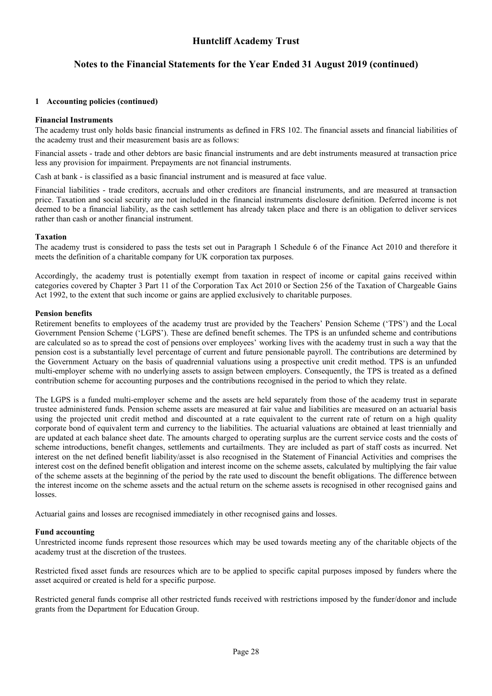### **Notes to the Financial Statements for the Year Ended 31 August 2019 (continued)**

#### **[1](#page-26-0) Accounting policies (continued)**

#### **Financial Instruments**

The academy trust only holds basic financial instruments as defined in FRS 102. The financial assets and financial liabilities of the academy trust and their measurement basis are as follows:

Financial assets - trade and other debtors are basic financial instruments and are debt instruments measured at transaction price less any provision for impairment. Prepayments are not financial instruments.

Cash at bank - is classified as a basic financial instrument and is measured at face value.

Financial liabilities - trade creditors, accruals and other creditors are financial instruments, and are measured at transaction price. Taxation and social security are not included in the financial instruments disclosure definition. Deferred income is not deemed to be a financial liability, as the cash settlement has already taken place and there is an obligation to deliver services rather than cash or another financial instrument.

#### **Taxation**

The academy trust is considered to pass the tests set out in Paragraph 1 Schedule 6 of the Finance Act 2010 and therefore it meets the definition of a charitable company for UK corporation tax purposes.

Accordingly, the academy trust is potentially exempt from taxation in respect of income or capital gains received within categories covered by Chapter 3 Part 11 of the Corporation Tax Act 2010 or Section 256 of the Taxation of Chargeable Gains Act 1992, to the extent that such income or gains are applied exclusively to charitable purposes.

#### **Pension benefits**

Retirement benefits to employees of the academy trust are provided by the Teachers' Pension Scheme ('TPS') and the Local Government Pension Scheme ('LGPS'). These are defined benefit schemes. The TPS is an unfunded scheme and contributions are calculated so as to spread the cost of pensions over employees' working lives with the academy trust in such a way that the pension cost is a substantially level percentage of current and future pensionable payroll. The contributions are determined by the Government Actuary on the basis of quadrennial valuations using a prospective unit credit method. TPS is an unfunded multi-employer scheme with no underlying assets to assign between employers. Consequently, the TPS is treated as a defined contribution scheme for accounting purposes and the contributions recognised in the period to which they relate.

The LGPS is a funded multi-employer scheme and the assets are held separately from those of the academy trust in separate trustee administered funds. Pension scheme assets are measured at fair value and liabilities are measured on an actuarial basis using the projected unit credit method and discounted at a rate equivalent to the current rate of return on a high quality corporate bond of equivalent term and currency to the liabilities. The actuarial valuations are obtained at least triennially and are updated at each balance sheet date. The amounts charged to operating surplus are the current service costs and the costs of scheme introductions, benefit changes, settlements and curtailments. They are included as part of staff costs as incurred. Net interest on the net defined benefit liability/asset is also recognised in the Statement of Financial Activities and comprises the interest cost on the defined benefit obligation and interest income on the scheme assets, calculated by multiplying the fair value of the scheme assets at the beginning of the period by the rate used to discount the benefit obligations. The difference between the interest income on the scheme assets and the actual return on the scheme assets is recognised in other recognised gains and losses.

Actuarial gains and losses are recognised immediately in other recognised gains and losses.

#### **Fund accounting**

Unrestricted income funds represent those resources which may be used towards meeting any of the charitable objects of the academy trust at the discretion of the trustees.

Restricted fixed asset funds are resources which are to be applied to specific capital purposes imposed by funders where the asset acquired or created is held for a specific purpose.

Restricted general funds comprise all other restricted funds received with restrictions imposed by the funder/donor and include grants from the Department for Education Group.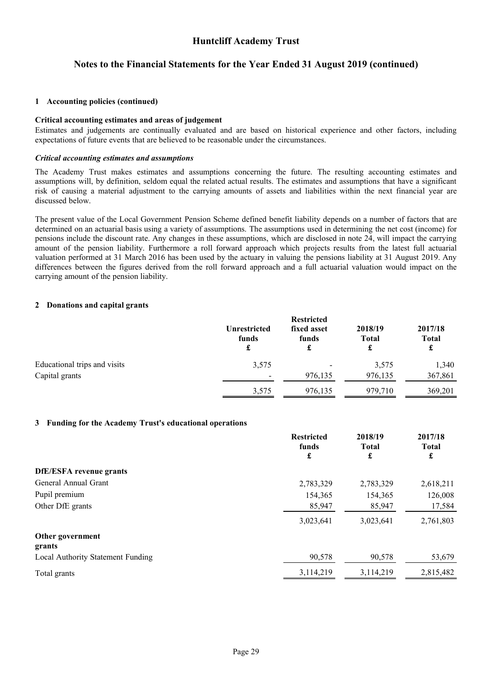# **Notes to the Financial Statements for the Year Ended 31 August 2019 (continued)**

#### **[1](#page-26-0) Accounting policies (continued)**

#### **Critical accounting estimates and areas of judgement**

Estimates and judgements are continually evaluated and are based on historical experience and other factors, including expectations of future events that are believed to be reasonable under the circumstances.

#### *Critical accounting estimates and assumptions*

The Academy Trust makes estimates and assumptions concerning the future. The resulting accounting estimates and assumptions will, by definition, seldom equal the related actual results. The estimates and assumptions that have a significant risk of causing a material adjustment to the carrying amounts of assets and liabilities within the next financial year are discussed below.

The present value of the Local Government Pension Scheme defined benefit liability depends on a number of factors that are determined on an actuarial basis using a variety of assumptions. The assumptions used in determining the net cost (income) for pensions include the discount rate. Any changes in these assumptions, which are disclosed in note 24, will impact the carrying amount of the pension liability. Furthermore a roll forward approach which projects results from the latest full actuarial valuation performed at 31 March 2016 has been used by the actuary in valuing the pensions liability at 31 August 2019. Any differences between the figures derived from the roll forward approach and a full actuarial valuation would impact on the carrying amount of the pension liability.

#### <span id="page-30-0"></span>**[2](#page-30-0) Donations and capital grants**

|                              |                            | <b>Restricted</b>         |                         |                              |
|------------------------------|----------------------------|---------------------------|-------------------------|------------------------------|
|                              | Unrestricted<br>funds<br>£ | fixed asset<br>funds<br>£ | 2018/19<br><b>Total</b> | 2017/18<br><b>Total</b><br>£ |
| Educational trips and visits | 3,575                      | $\overline{\phantom{a}}$  | 3,575                   | 1,340                        |
| Capital grants               | $\overline{\phantom{0}}$   | 976,135                   | 976,135                 | 367,861                      |
|                              | 3,575                      | 976,135                   | 979,710                 | 369,201                      |

#### <span id="page-30-1"></span>**[3](#page-30-1) Funding for the Academy Trust's educational operations**

|                                   | <b>Restricted</b><br>funds | 2018/19<br><b>Total</b> | 2017/18<br><b>Total</b> |
|-----------------------------------|----------------------------|-------------------------|-------------------------|
|                                   | £                          | £                       | £                       |
| <b>DfE/ESFA</b> revenue grants    |                            |                         |                         |
| General Annual Grant              | 2,783,329                  | 2,783,329               | 2,618,211               |
| Pupil premium                     | 154,365                    | 154,365                 | 126,008                 |
| Other DfE grants                  | 85,947                     | 85,947                  | 17,584                  |
|                                   | 3,023,641                  | 3,023,641               | 2,761,803               |
| Other government<br>grants        |                            |                         |                         |
| Local Authority Statement Funding | 90,578                     | 90,578                  | 53,679                  |
| Total grants                      | 3,114,219                  | 3,114,219               | 2,815,482               |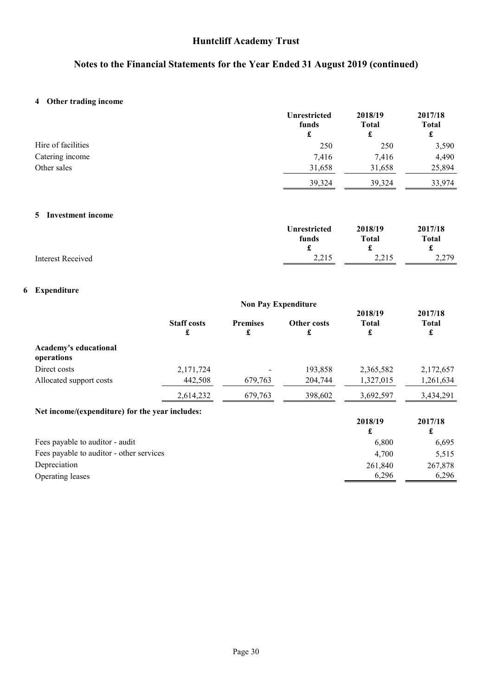# **Notes to the Financial Statements for the Year Ended 31 August 2019 (continued)**

# <span id="page-31-0"></span>**[4](#page-31-0) Other trading income**

|                    | Unrestricted<br>funds<br>£ | 2018/19<br><b>Total</b><br>£ | 2017/18<br><b>Total</b><br>£ |
|--------------------|----------------------------|------------------------------|------------------------------|
| Hire of facilities | 250                        | 250                          | 3,590                        |
| Catering income    | 7,416                      | 7.416                        | 4,490                        |
| Other sales        | 31,658                     | 31,658                       | 25,894                       |
|                    | 39,324                     | 39,324                       | 33.974                       |

### <span id="page-31-1"></span>**[5](#page-31-1) Investment income**

|                   | <b>Unrestricted</b> | 2018/19      | 2017/18      |
|-------------------|---------------------|--------------|--------------|
|                   | funds               | <b>Total</b> | <b>Total</b> |
|                   | -                   |              | t            |
| Interest Received | 2.215<br>ل 1 مئے    | 2.215        | 2,279        |

# <span id="page-31-2"></span>**[6](#page-31-2) Expenditure**

|                                                 |                         | <b>Non Pay Expenditure</b> |                         |                              |                              |
|-------------------------------------------------|-------------------------|----------------------------|-------------------------|------------------------------|------------------------------|
|                                                 | <b>Staff costs</b><br>£ | <b>Premises</b><br>£       | <b>Other costs</b><br>£ | 2018/19<br><b>Total</b><br>£ | 2017/18<br><b>Total</b><br>£ |
| Academy's educational<br>operations             |                         |                            |                         |                              |                              |
| Direct costs                                    | 2,171,724               |                            | 193,858                 | 2,365,582                    | 2,172,657                    |
| Allocated support costs                         | 442,508                 | 679,763                    | 204,744                 | 1,327,015                    | 1,261,634                    |
|                                                 | 2,614,232               | 679,763                    | 398,602                 | 3,692,597                    | 3,434,291                    |
| Net income/(expenditure) for the year includes: |                         |                            |                         |                              |                              |
|                                                 |                         |                            |                         | 2018/19<br>£                 | 2017/18<br>£                 |
| Fees payable to auditor - audit                 |                         |                            |                         | 6,800                        | 6,695                        |
| Fees payable to auditor - other services        |                         |                            |                         | 4,700                        | 5,515                        |
| Depreciation                                    |                         |                            |                         | 261,840                      | 267,878                      |
| Operating leases                                |                         |                            |                         | 6,296                        | 6,296                        |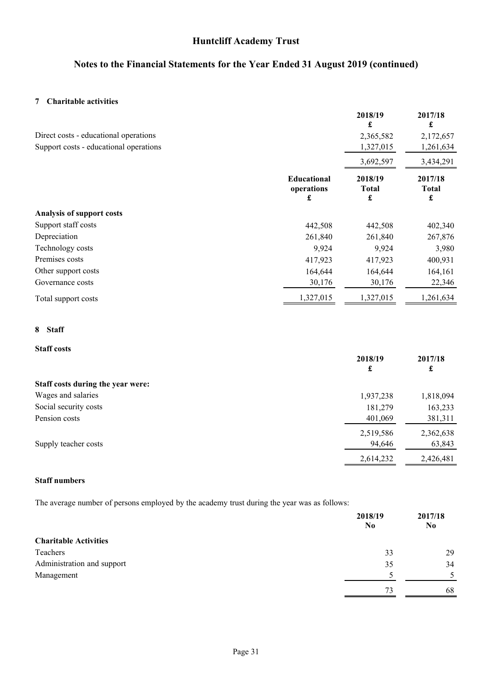# **Notes to the Financial Statements for the Year Ended 31 August 2019 (continued)**

### <span id="page-32-0"></span>**[7](#page-32-0) Charitable activities**

| Direct costs - educational operations<br>Support costs - educational operations |                                       | 2018/19<br>£<br>2,365,582<br>1,327,015    | 2017/18<br>£<br>2,172,657<br>1,261,634    |
|---------------------------------------------------------------------------------|---------------------------------------|-------------------------------------------|-------------------------------------------|
|                                                                                 | <b>Educational</b><br>operations<br>£ | 3,692,597<br>2018/19<br><b>Total</b><br>£ | 3,434,291<br>2017/18<br><b>Total</b><br>£ |
| <b>Analysis of support costs</b>                                                |                                       |                                           |                                           |
| Support staff costs                                                             | 442,508                               | 442,508                                   | 402,340                                   |
| Depreciation                                                                    | 261,840                               | 261,840                                   | 267,876                                   |
| Technology costs                                                                | 9,924                                 | 9,924                                     | 3,980                                     |
| Premises costs                                                                  | 417,923                               | 417,923                                   | 400,931                                   |
| Other support costs                                                             | 164,644                               | 164,644                                   | 164,161                                   |
| Governance costs                                                                | 30,176                                | 30,176                                    | 22,346                                    |
| Total support costs                                                             | 1,327,015                             | 1,327,015                                 | 1,261,634                                 |

#### <span id="page-32-1"></span>**[8](#page-32-1) Staff**

### **Staff costs**

|                                   | 2018/19<br>£ | 2017/18<br>£ |
|-----------------------------------|--------------|--------------|
| Staff costs during the year were: |              |              |
| Wages and salaries                | 1,937,238    | 1,818,094    |
| Social security costs             | 181,279      | 163,233      |
| Pension costs                     | 401,069      | 381,311      |
|                                   | 2,519,586    | 2,362,638    |
| Supply teacher costs              | 94,646       | 63,843       |
|                                   | 2,614,232    | 2,426,481    |

### **Staff numbers**

The average number of persons employed by the academy trust during the year was as follows:

|                              | 2018/19<br>N <sub>0</sub> | 2017/18<br>N <sub>0</sub> |
|------------------------------|---------------------------|---------------------------|
| <b>Charitable Activities</b> |                           |                           |
| Teachers                     | 33                        | 29                        |
| Administration and support   | 35                        | 34                        |
| Management                   |                           | 5                         |
|                              | 73                        | 68                        |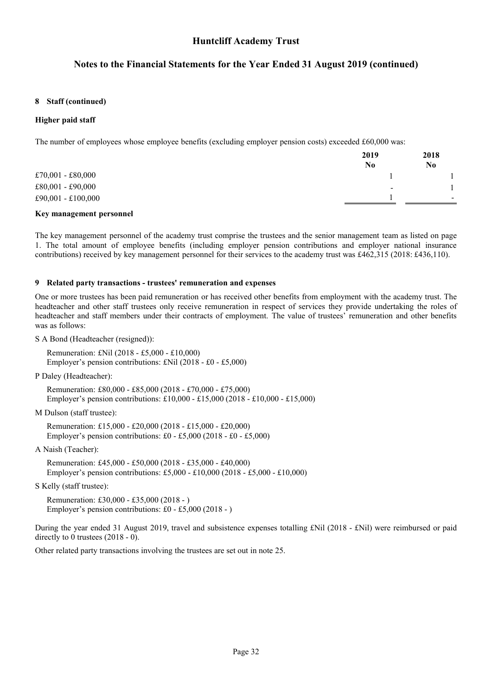### **Notes to the Financial Statements for the Year Ended 31 August 2019 (continued)**

#### **[8](#page-32-1) Staff (continued)**

#### **Higher paid staff**

The number of employees whose employee benefits (excluding employer pension costs) exceeded £60,000 was:

|                    | 2019<br>No | 2018<br>N0               |
|--------------------|------------|--------------------------|
| £70,001 - £80,000  |            |                          |
| £80,001 - £90,000  | $\,$       |                          |
| £90,001 - £100,000 |            | $\overline{\phantom{a}}$ |
|                    |            |                          |

#### **Key management personnel**

<span id="page-33-0"></span>The key management personnel of the academy trust comprise the trustees and the senior management team as listed on page [1.](#page-2-0) The total amount of employee benefits (including employer pension contributions and employer national insurance contributions) received by key management personnel for their services to the academy trust was £462,315 (2018: £436,110).

#### **[9](#page-33-0) Related party transactions - trustees' remuneration and expenses**

One or more trustees has been paid remuneration or has received other benefits from employment with the academy trust. The headteacher and other staff trustees only receive remuneration in respect of services they provide undertaking the roles of headteacher and staff members under their contracts of employment. The value of trustees' remuneration and other benefits was as follows:

S A Bond (Headteacher (resigned)):

Remuneration: £Nil (2018 - £5,000 - £10,000) Employer's pension contributions: £Nil (2018 - £0 - £5,000)

P Daley (Headteacher):

Remuneration: £80,000 - £85,000 (2018 - £70,000 - £75,000) Employer's pension contributions: £10,000 - £15,000 (2018 - £10,000 - £15,000)

M Dulson (staff trustee):

Remuneration: £15,000 - £20,000 (2018 - £15,000 - £20,000) Employer's pension contributions: £0 - £5,000 (2018 - £0 - £5,000)

A Naish (Teacher):

Remuneration: £45,000 - £50,000 (2018 - £35,000 - £40,000) Employer's pension contributions: £5,000 - £10,000 (2018 - £5,000 - £10,000)

S Kelly (staff trustee):

Remuneration: £30,000 - £35,000 (2018 - ) Employer's pension contributions: £0 - £5,000 (2018 - )

During the year ended 31 August 2019, travel and subsistence expenses totalling £Nil (2018 - £Nil) were reimbursed or paid directly to 0 trustees (2018 - 0).

Other related party transactions involving the trustees are set out in note [25.](#page-42-0)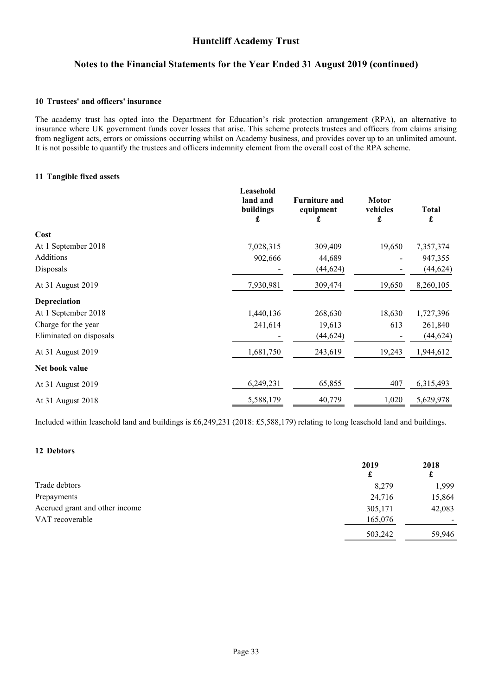### **Notes to the Financial Statements for the Year Ended 31 August 2019 (continued)**

#### <span id="page-34-2"></span>**[10](#page-34-2) Trustees' and officers' insurance**

<span id="page-34-0"></span>The academy trust has opted into the Department for Education's risk protection arrangement (RPA), an alternative to insurance where UK government funds cover losses that arise. This scheme protects trustees and officers from claims arising from negligent acts, errors or omissions occurring whilst on Academy business, and provides cover up to an unlimited amount. It is not possible to quantify the trustees and officers indemnity element from the overall cost of the RPA scheme.

#### **[11](#page-34-0) Tangible fixed assets**

|                         | Leasehold<br>land and<br>buildings<br>£ | <b>Furniture and</b><br>equipment<br>£ | <b>Motor</b><br>vehicles<br>£ | <b>Total</b><br>£ |
|-------------------------|-----------------------------------------|----------------------------------------|-------------------------------|-------------------|
| Cost                    |                                         |                                        |                               |                   |
| At 1 September 2018     | 7,028,315                               | 309,409                                | 19,650                        | 7,357,374         |
| Additions               | 902,666                                 | 44,689                                 |                               | 947,355           |
| Disposals               |                                         | (44, 624)                              |                               | (44, 624)         |
| At 31 August 2019       | 7,930,981                               | 309,474                                | 19,650                        | 8,260,105         |
| <b>Depreciation</b>     |                                         |                                        |                               |                   |
| At 1 September 2018     | 1,440,136                               | 268,630                                | 18,630                        | 1,727,396         |
| Charge for the year     | 241,614                                 | 19,613                                 | 613                           | 261,840           |
| Eliminated on disposals |                                         | (44, 624)                              |                               | (44, 624)         |
| At 31 August 2019       | 1,681,750                               | 243,619                                | 19,243                        | 1,944,612         |
| Net book value          |                                         |                                        |                               |                   |
| At 31 August 2019       | 6,249,231                               | 65,855                                 | 407                           | 6,315,493         |
| At 31 August 2018       | 5,588,179                               | 40,779                                 | 1,020                         | 5,629,978         |

<span id="page-34-1"></span>Included within leasehold land and buildings is £6,249,231 (2018: £5,588,179) relating to long leasehold land and buildings.

### **[12](#page-34-1) Debtors**

|                                | 2019    | 2018   |
|--------------------------------|---------|--------|
|                                | £       | £      |
| Trade debtors                  | 8,279   | 1,999  |
| Prepayments                    | 24,716  | 15,864 |
| Accrued grant and other income | 305,171 | 42,083 |
| VAT recoverable                | 165,076 |        |
|                                | 503,242 | 59.946 |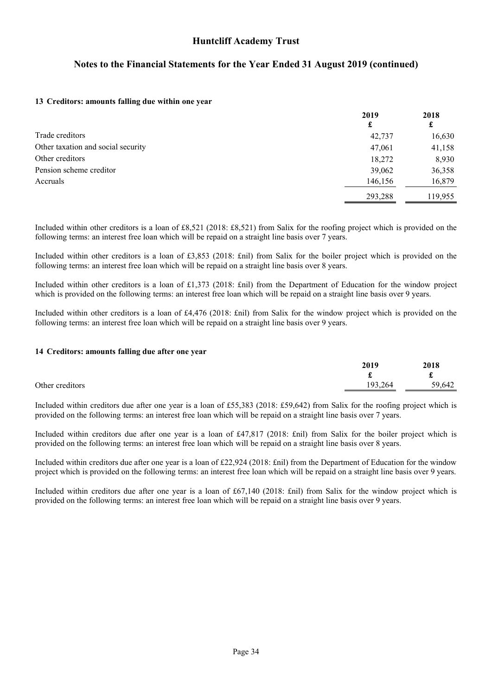# **Notes to the Financial Statements for the Year Ended 31 August 2019 (continued)**

#### <span id="page-35-0"></span>**[13](#page-35-0) Creditors: amounts falling due within one year**

|                                    | 2019    | 2018    |
|------------------------------------|---------|---------|
|                                    | £       | £       |
| Trade creditors                    | 42,737  | 16,630  |
| Other taxation and social security | 47,061  | 41,158  |
| Other creditors                    | 18,272  | 8,930   |
| Pension scheme creditor            | 39,062  | 36,358  |
| Accruals                           | 146,156 | 16,879  |
|                                    | 293,288 | 119,955 |

Included within other creditors is a loan of £8,521 (2018: £8,521) from Salix for the roofing project which is provided on the following terms: an interest free loan which will be repaid on a straight line basis over 7 years.

Included within other creditors is a loan of £3,853 (2018: £nil) from Salix for the boiler project which is provided on the following terms: an interest free loan which will be repaid on a straight line basis over 8 years.

Included within other creditors is a loan of £1,373 (2018: £nil) from the Department of Education for the window project which is provided on the following terms: an interest free loan which will be repaid on a straight line basis over 9 years.

<span id="page-35-1"></span>Included within other creditors is a loan of £4,476 (2018: £nil) from Salix for the window project which is provided on the following terms: an interest free loan which will be repaid on a straight line basis over 9 years.

#### **[14](#page-35-1) Creditors: amounts falling due after one year**

|                 | 2019    | 2018   |
|-----------------|---------|--------|
|                 |         | d.     |
| Other creditors | 193,264 | 59,642 |
|                 |         |        |

Included within creditors due after one year is a loan of £55,383 (2018: £59,642) from Salix for the roofing project which is provided on the following terms: an interest free loan which will be repaid on a straight line basis over 7 years.

Included within creditors due after one year is a loan of £47,817 (2018: £nil) from Salix for the boiler project which is provided on the following terms: an interest free loan which will be repaid on a straight line basis over 8 years.

Included within creditors due after one year is a loan of £22,924 (2018: £nil) from the Department of Education for the window project which is provided on the following terms: an interest free loan which will be repaid on a straight line basis over 9 years.

Included within creditors due after one year is a loan of £67,140 (2018: £nil) from Salix for the window project which is provided on the following terms: an interest free loan which will be repaid on a straight line basis over 9 years.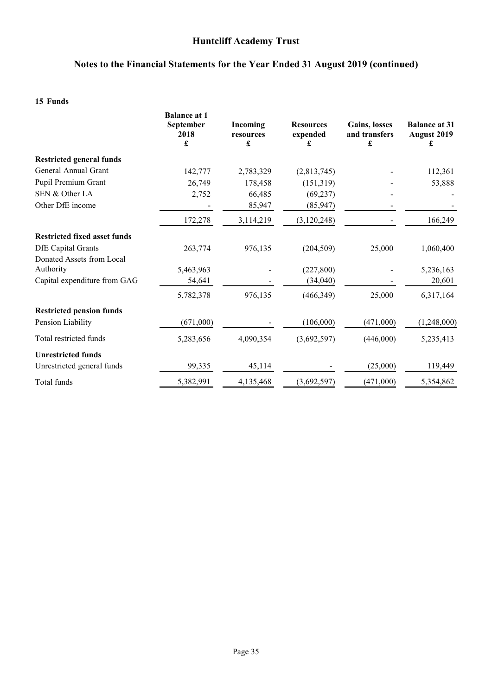# **Notes to the Financial Statements for the Year Ended 31 August 2019 (continued)**

### <span id="page-36-0"></span>**[15](#page-36-0) Funds**

|                                     | <b>Balance at 1</b><br>September<br>2018<br>£ | Incoming<br>resources<br>£ | <b>Resources</b><br>expended<br>£ | <b>Gains, losses</b><br>and transfers<br>£ | <b>Balance at 31</b><br>August 2019<br>£ |
|-------------------------------------|-----------------------------------------------|----------------------------|-----------------------------------|--------------------------------------------|------------------------------------------|
| <b>Restricted general funds</b>     |                                               |                            |                                   |                                            |                                          |
| General Annual Grant                | 142,777                                       | 2,783,329                  | (2,813,745)                       |                                            | 112,361                                  |
| Pupil Premium Grant                 | 26,749                                        | 178,458                    | (151, 319)                        |                                            | 53,888                                   |
| SEN & Other LA                      | 2,752                                         | 66,485                     | (69, 237)                         |                                            |                                          |
| Other DfE income                    |                                               | 85,947                     | (85, 947)                         |                                            |                                          |
|                                     | 172,278                                       | 3,114,219                  | (3,120,248)                       |                                            | 166,249                                  |
| <b>Restricted fixed asset funds</b> |                                               |                            |                                   |                                            |                                          |
| <b>DfE</b> Capital Grants           | 263,774                                       | 976,135                    | (204, 509)                        | 25,000                                     | 1,060,400                                |
| Donated Assets from Local           |                                               |                            |                                   |                                            |                                          |
| Authority                           | 5,463,963                                     |                            | (227, 800)                        |                                            | 5,236,163                                |
| Capital expenditure from GAG        | 54,641                                        |                            | (34,040)                          |                                            | 20,601                                   |
|                                     | 5,782,378                                     | 976,135                    | (466, 349)                        | 25,000                                     | 6,317,164                                |
| <b>Restricted pension funds</b>     |                                               |                            |                                   |                                            |                                          |
| Pension Liability                   | (671,000)                                     |                            | (106,000)                         | (471,000)                                  | (1,248,000)                              |
| Total restricted funds              | 5,283,656                                     | 4,090,354                  | (3,692,597)                       | (446,000)                                  | 5,235,413                                |
| <b>Unrestricted funds</b>           |                                               |                            |                                   |                                            |                                          |
| Unrestricted general funds          | 99,335                                        | 45,114                     |                                   | (25,000)                                   | 119,449                                  |
| Total funds                         | 5,382,991                                     | 4,135,468                  | (3,692,597)                       | (471,000)                                  | 5,354,862                                |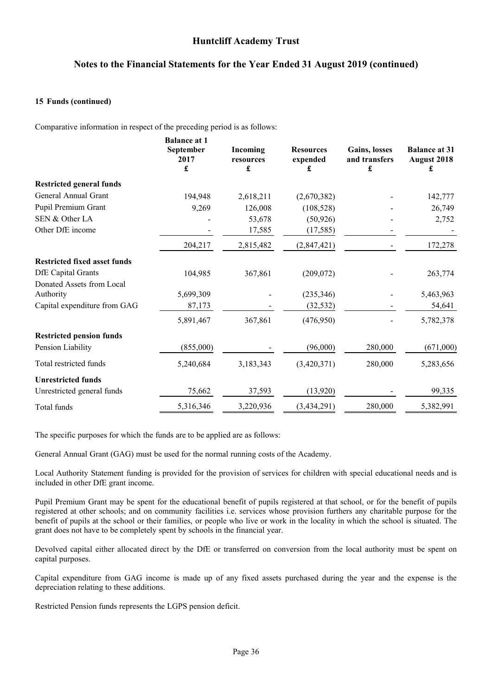### **Notes to the Financial Statements for the Year Ended 31 August 2019 (continued)**

#### **[15](#page-36-0) Funds (continued)**

Comparative information in respect of the preceding period is as follows:

|                                     | <b>Balance at 1</b><br>September<br>2017<br>£ | Incoming<br>resources<br>£ | <b>Resources</b><br>expended<br>£ | Gains, losses<br>and transfers<br>£ | <b>Balance at 31</b><br><b>August 2018</b><br>£ |
|-------------------------------------|-----------------------------------------------|----------------------------|-----------------------------------|-------------------------------------|-------------------------------------------------|
| <b>Restricted general funds</b>     |                                               |                            |                                   |                                     |                                                 |
| General Annual Grant                | 194,948                                       | 2,618,211                  | (2,670,382)                       |                                     | 142,777                                         |
| Pupil Premium Grant                 | 9,269                                         | 126,008                    | (108, 528)                        |                                     | 26,749                                          |
| SEN & Other LA                      |                                               | 53,678                     | (50, 926)                         |                                     | 2,752                                           |
| Other DfE income                    |                                               | 17,585                     | (17, 585)                         |                                     |                                                 |
|                                     | 204,217                                       | 2,815,482                  | (2,847,421)                       |                                     | 172,278                                         |
| <b>Restricted fixed asset funds</b> |                                               |                            |                                   |                                     |                                                 |
| <b>DfE</b> Capital Grants           | 104,985                                       | 367,861                    | (209, 072)                        |                                     | 263,774                                         |
| Donated Assets from Local           |                                               |                            |                                   |                                     |                                                 |
| Authority                           | 5,699,309                                     |                            | (235, 346)                        |                                     | 5,463,963                                       |
| Capital expenditure from GAG        | 87,173                                        |                            | (32, 532)                         |                                     | 54,641                                          |
|                                     | 5,891,467                                     | 367,861                    | (476,950)                         |                                     | 5,782,378                                       |
| <b>Restricted pension funds</b>     |                                               |                            |                                   |                                     |                                                 |
| Pension Liability                   | (855,000)                                     |                            | (96,000)                          | 280,000                             | (671,000)                                       |
| Total restricted funds              | 5,240,684                                     | 3,183,343                  | (3,420,371)                       | 280,000                             | 5,283,656                                       |
| <b>Unrestricted funds</b>           |                                               |                            |                                   |                                     |                                                 |
| Unrestricted general funds          | 75,662                                        | 37,593                     | (13,920)                          |                                     | 99,335                                          |
| Total funds                         | 5,316,346                                     | 3,220,936                  | (3, 434, 291)                     | 280,000                             | 5,382,991                                       |

The specific purposes for which the funds are to be applied are as follows:

General Annual Grant (GAG) must be used for the normal running costs of the Academy.

Local Authority Statement funding is provided for the provision of services for children with special educational needs and is included in other DfE grant income.

Pupil Premium Grant may be spent for the educational benefit of pupils registered at that school, or for the benefit of pupils registered at other schools; and on community facilities i.e. services whose provision furthers any charitable purpose for the benefit of pupils at the school or their families, or people who live or work in the locality in which the school is situated. The grant does not have to be completely spent by schools in the financial year.

Devolved capital either allocated direct by the DfE or transferred on conversion from the local authority must be spent on capital purposes.

Capital expenditure from GAG income is made up of any fixed assets purchased during the year and the expense is the depreciation relating to these additions.

Restricted Pension funds represents the LGPS pension deficit.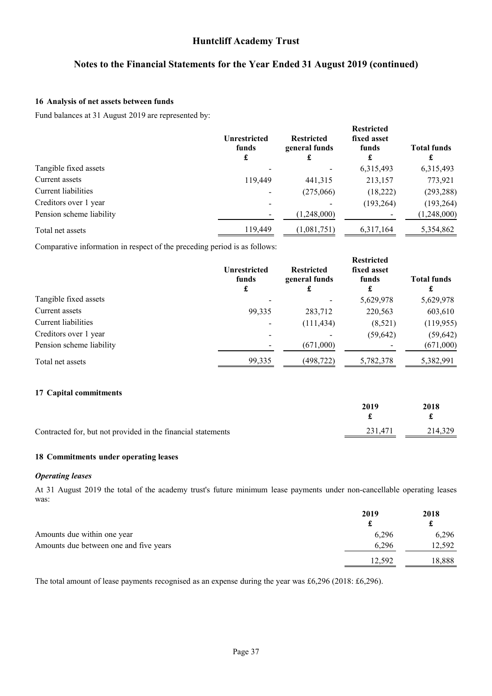## **Notes to the Financial Statements for the Year Ended 31 August 2019 (continued)**

#### <span id="page-38-0"></span>**[16](#page-38-0) Analysis of net assets between funds**

Fund balances at 31 August 2019 are represented by:

|                          | <b>Unrestricted</b><br>funds<br>£ | <b>Restricted</b><br>general funds<br>£ | <b>Restricted</b><br>fixed asset<br>funds<br>£ | <b>Total funds</b><br>£ |
|--------------------------|-----------------------------------|-----------------------------------------|------------------------------------------------|-------------------------|
| Tangible fixed assets    |                                   |                                         | 6,315,493                                      | 6,315,493               |
| Current assets           | 119,449                           | 441,315                                 | 213,157                                        | 773,921                 |
| Current liabilities      |                                   | (275,066)                               | (18,222)                                       | (293, 288)              |
| Creditors over 1 year    |                                   | $\qquad \qquad$                         | (193, 264)                                     | (193, 264)              |
| Pension scheme liability |                                   | (1,248,000)                             |                                                | (1,248,000)             |
| Total net assets         | 119,449                           | (1,081,751)                             | 6,317,164                                      | 5,354,862               |

Comparative information in respect of the preceding period is as follows:

|                          | <b>Unrestricted</b><br>funds<br>£ | <b>Restricted</b><br>general funds<br>£ | <b>Restricted</b><br>fixed asset<br>funds | <b>Total funds</b><br>£ |
|--------------------------|-----------------------------------|-----------------------------------------|-------------------------------------------|-------------------------|
| Tangible fixed assets    |                                   |                                         | 5,629,978                                 | 5,629,978               |
| Current assets           | 99,335                            | 283,712                                 | 220,563                                   | 603,610                 |
| Current liabilities      |                                   | (111, 434)                              | (8,521)                                   | (119,955)               |
| Creditors over 1 year    |                                   |                                         | (59, 642)                                 | (59, 642)               |
| Pension scheme liability |                                   | (671,000)                               |                                           | (671,000)               |
| Total net assets         | 99,335                            | (498,722)                               | 5,782,378                                 | 5,382,991               |

#### <span id="page-38-1"></span>**[17](#page-38-1) Capital commitments**

<span id="page-38-2"></span>

|                                                              | 2019    | 2018    |
|--------------------------------------------------------------|---------|---------|
| Contracted for, but not provided in the financial statements | 231.471 | 214,329 |

### **[18](#page-38-2) Commitments under operating leases**

#### *Operating leases*

At 31 August 2019 the total of the academy trust's future minimum lease payments under non-cancellable operating leases was:

|                                        | 2019   | 2018<br>£ |
|----------------------------------------|--------|-----------|
| Amounts due within one year            | 6.296  | 6,296     |
| Amounts due between one and five years | 6.296  | 12.592    |
|                                        | 12.592 | 18,888    |

The total amount of lease payments recognised as an expense during the year was £6,296 (2018: £6,296).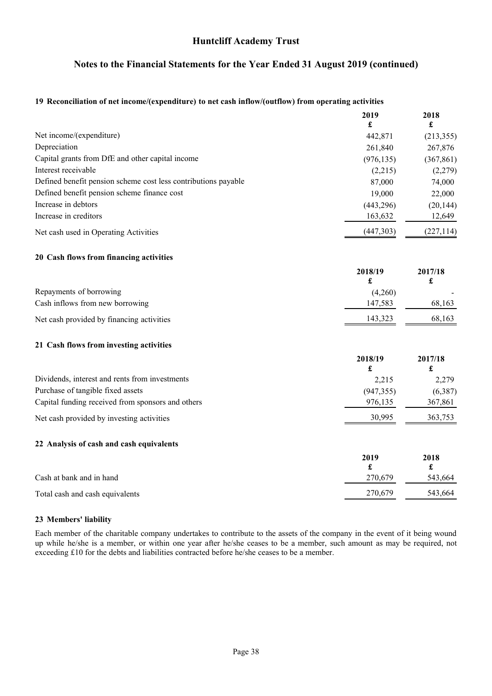## **Notes to the Financial Statements for the Year Ended 31 August 2019 (continued)**

#### <span id="page-39-0"></span>**[19](#page-39-0) Reconciliation of net income/(expenditure) to net cash inflow/(outflow) from operating activities**

<span id="page-39-2"></span><span id="page-39-1"></span>

|                                                                | 2019                            | 2018                            |
|----------------------------------------------------------------|---------------------------------|---------------------------------|
|                                                                | £                               | £                               |
| Net income/(expenditure)                                       | 442,871                         | (213, 355)                      |
| Depreciation                                                   | 261,840                         | 267,876                         |
| Capital grants from DfE and other capital income               | (976, 135)                      | (367, 861)                      |
| Interest receivable                                            | (2,215)                         | (2,279)                         |
| Defined benefit pension scheme cost less contributions payable | 87,000                          | 74,000                          |
| Defined benefit pension scheme finance cost                    | 19,000                          | 22,000                          |
| Increase in debtors                                            | (443, 296)                      | (20, 144)                       |
| Increase in creditors                                          | 163,632                         | 12,649                          |
| Net cash used in Operating Activities                          | (447,303)                       | (227, 114)                      |
| 20 Cash flows from financing activities                        |                                 |                                 |
|                                                                | 2018/19<br>£                    | 2017/18<br>£                    |
| Repayments of borrowing                                        | (4,260)                         |                                 |
| Cash inflows from new borrowing                                | 147,583                         | 68,163                          |
| Net cash provided by financing activities                      | 143,323                         | 68,163                          |
| 21 Cash flows from investing activities                        |                                 |                                 |
|                                                                | 2018/19<br>$\pmb{\mathfrak{L}}$ | 2017/18<br>$\pmb{\mathfrak{L}}$ |
| Dividends, interest and rents from investments                 | 2,215                           | 2,279                           |
| Purchase of tangible fixed assets                              | (947, 355)                      | (6, 387)                        |
| Capital funding received from sponsors and others              | 976,135                         | 367,861                         |
| Net cash provided by investing activities                      | 30,995                          | 363,753                         |
| 22 Analysis of cash and cash equivalents                       |                                 |                                 |
|                                                                | 2019<br>£                       | 2018<br>£                       |
| Cash at bank and in hand                                       | 270,679                         | 543,664                         |
| Total cash and cash equivalents                                | 270,679                         | 543,664                         |

### <span id="page-39-4"></span><span id="page-39-3"></span>**[23](#page-39-4) Members' liability**

Each member of the charitable company undertakes to contribute to the assets of the company in the event of it being wound up while he/she is a member, or within one year after he/she ceases to be a member, such amount as may be required, not exceeding £10 for the debts and liabilities contracted before he/she ceases to be a member.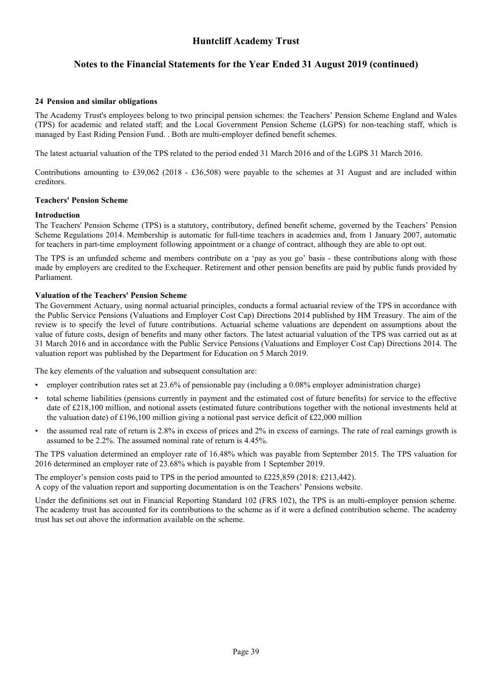## **Notes to the Financial Statements for the Year Ended 31 August 2019 (continued)**

#### <span id="page-40-0"></span>**[24](#page-40-0) Pension and similar obligations**

The Academy Trust's employees belong to two principal pension schemes: the Teachers' Pension Scheme England and Wales (TPS) for academic and related staff; and the Local Government Pension Scheme (LGPS) for non-teaching staff, which is managed by East Riding Pension Fund. . Both are multi-employer defined benefit schemes.

The latest actuarial valuation of the TPS related to the period ended 31 March 2016 and of the LGPS 31 March 2016.

Contributions amounting to £39,062 (2018 - £36,508) were payable to the schemes at 31 August and are included within creditors.

#### **Teachers' Pension Scheme**

#### **Introduction**

The Teachers' Pension Scheme (TPS) is a statutory, contributory, defined benefit scheme, governed by the Teachers' Pension Scheme Regulations 2014. Membership is automatic for full-time teachers in academies and, from 1 January 2007, automatic for teachers in part-time employment following appointment or a change of contract, although they are able to opt out.

The TPS is an unfunded scheme and members contribute on a 'pay as you go' basis - these contributions along with those made by employers are credited to the Exchequer. Retirement and other pension benefits are paid by public funds provided by Parliament.

#### **Valuation of the Teachers' Pension Scheme**

The Government Actuary, using normal actuarial principles, conducts a formal actuarial review of the TPS in accordance with the Public Service Pensions (Valuations and Employer Cost Cap) Directions 2014 published by HM Treasury. The aim of the review is to specify the level of future contributions. Actuarial scheme valuations are dependent on assumptions about the value of future costs, design of benefits and many other factors. The latest actuarial valuation of the TPS was carried out as at 31 March 2016 and in accordance with the Public Service Pensions (Valuations and Employer Cost Cap) Directions 2014. The valuation report was published by the Department for Education on 5 March 2019.

The key elements of the valuation and subsequent consultation are:

- employer contribution rates set at 23.6% of pensionable pay (including a 0.08% employer administration charge)
- total scheme liabilities (pensions currently in payment and the estimated cost of future benefits) for service to the effective date of £218,100 million, and notional assets (estimated future contributions together with the notional investments held at the valuation date) of £196,100 million giving a notional past service deficit of £22,000 million
- the assumed real rate of return is 2.8% in excess of prices and 2% in excess of earnings. The rate of real earnings growth is assumed to be 2.2%. The assumed nominal rate of return is 4.45%.

The TPS valuation determined an employer rate of 16.48% which was payable from September 2015. The TPS valuation for 2016 determined an employer rate of 23.68% which is payable from 1 September 2019.

The employer's pension costs paid to TPS in the period amounted to £225,859 (2018: £213,442). A copy of the valuation report and supporting documentation is on the Teachers' Pensions website.

Under the definitions set out in Financial Reporting Standard 102 (FRS 102), the TPS is an multi-employer pension scheme. The academy trust has accounted for its contributions to the scheme as if it were a defined contribution scheme. The academy trust has set out above the information available on the scheme.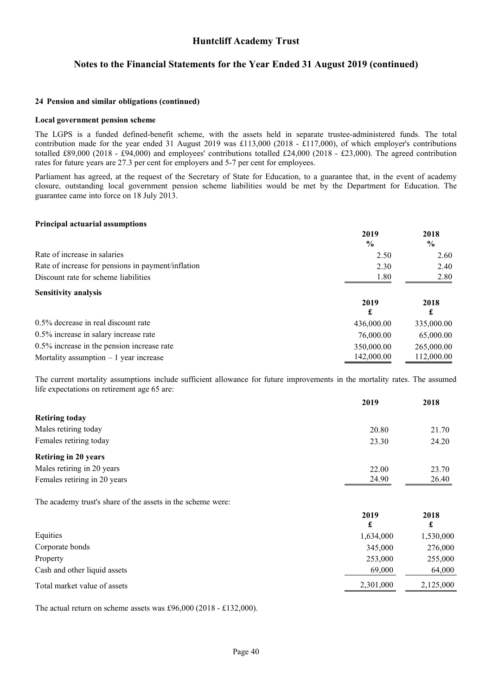### **Notes to the Financial Statements for the Year Ended 31 August 2019 (continued)**

#### **[24](#page-40-0) Pension and similar obligations (continued)**

#### **Local government pension scheme**

The LGPS is a funded defined-benefit scheme, with the assets held in separate trustee-administered funds. The total contribution made for the year ended 31 August 2019 was £113,000 (2018 - £117,000), of which employer's contributions totalled £89,000 (2018 - £94,000) and employees' contributions totalled £24,000 (2018 - £23,000). The agreed contribution rates for future years are 27.3 per cent for employers and 5-7 per cent for employees.

Parliament has agreed, at the request of the Secretary of State for Education, to a guarantee that, in the event of academy closure, outstanding local government pension scheme liabilities would be met by the Department for Education. The guarantee came into force on 18 July 2013.

#### **Principal actuarial assumptions**

|                                                    | 2019<br>$\frac{0}{0}$ | 2018<br>$\frac{0}{0}$ |
|----------------------------------------------------|-----------------------|-----------------------|
| Rate of increase in salaries                       | 2.50                  | 2.60                  |
| Rate of increase for pensions in payment/inflation | 2.30                  | 2.40                  |
| Discount rate for scheme liabilities               | 1.80                  | 2.80                  |
| <b>Sensitivity analysis</b>                        |                       |                       |
|                                                    | 2019<br>£             | 2018<br>£             |
| 0.5% decrease in real discount rate                | 436,000.00            | 335,000.00            |
| 0.5% increase in salary increase rate              | 76,000.00             | 65,000.00             |
| 0.5% increase in the pension increase rate         | 350,000.00            | 265,000.00            |
| Mortality assumption $-1$ year increase            | 142,000.00            | 112,000.00            |

The current mortality assumptions include sufficient allowance for future improvements in the mortality rates. The assumed life expectations on retirement age 65 are:

|                              | 2019  | 2018  |
|------------------------------|-------|-------|
| <b>Retiring today</b>        |       |       |
| Males retiring today         | 20.80 | 21.70 |
| Females retiring today       | 23.30 | 24.20 |
| <b>Retiring in 20 years</b>  |       |       |
| Males retiring in 20 years   | 22.00 | 23.70 |
| Females retiring in 20 years | 24.90 | 26.40 |

The academy trust's share of the assets in the scheme were:

|                              | 2019      | 2018<br>£ |
|------------------------------|-----------|-----------|
| Equities                     | 1,634,000 | 1,530,000 |
| Corporate bonds              | 345,000   | 276,000   |
| Property                     | 253,000   | 255,000   |
| Cash and other liquid assets | 69,000    | 64,000    |
| Total market value of assets | 2,301,000 | 2,125,000 |

The actual return on scheme assets was £96,000 (2018 - £132,000).